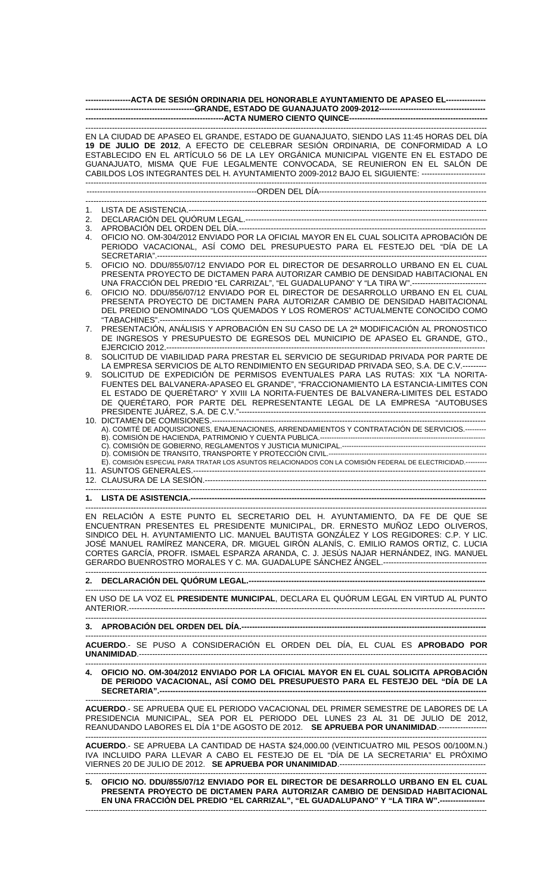|    | ------------------ACTA DE SESIÓN ORDINARIA DEL HONORABLE AYUNTAMIENTO DE APASEO EL---------------                                                                                                                                                                                                                                                                                                                                                     |
|----|-------------------------------------------------------------------------------------------------------------------------------------------------------------------------------------------------------------------------------------------------------------------------------------------------------------------------------------------------------------------------------------------------------------------------------------------------------|
|    |                                                                                                                                                                                                                                                                                                                                                                                                                                                       |
|    |                                                                                                                                                                                                                                                                                                                                                                                                                                                       |
|    | EN LA CIUDAD DE APASEO EL GRANDE, ESTADO DE GUANAJUATO, SIENDO LAS 11:45 HORAS DEL DÍA<br>19 DE JULIO DE 2012, A EFECTO DE CELEBRAR SESIÓN ORDINARIA, DE CONFORMIDAD A LO<br>ESTABLECIDO EN EL ARTÍCULO 56 DE LA LEY ORGÁNICA MUNICIPAL VIGENTE EN EL ESTADO DE<br>GUANAJUATO, MISMA QUE FUE LEGALMENTE CONVOCADA, SE REUNIERON EN EL SALÓN DE<br>CABILDOS LOS INTEGRANTES DEL H. AYUNTAMIENTO 2009-2012 BAJO EL SIGUIENTE: ------------------------- |
|    |                                                                                                                                                                                                                                                                                                                                                                                                                                                       |
|    |                                                                                                                                                                                                                                                                                                                                                                                                                                                       |
| 1. |                                                                                                                                                                                                                                                                                                                                                                                                                                                       |
| 2. |                                                                                                                                                                                                                                                                                                                                                                                                                                                       |
| 3. |                                                                                                                                                                                                                                                                                                                                                                                                                                                       |
| 4. | OFICIO NO. OM-304/2012 ENVIADO POR LA OFICIAL MAYOR EN EL CUAL SOLICITA APROBACIÓN DE<br>PERIODO VACACIONAL, ASÍ COMO DEL PRESUPUESTO PARA EL FESTEJO DEL "DÍA DE LA                                                                                                                                                                                                                                                                                  |
| 5. | OFICIO NO. DDU/855/07/12 ENVIADO POR EL DIRECTOR DE DESARROLLO URBANO EN EL CUAL                                                                                                                                                                                                                                                                                                                                                                      |
|    | PRESENTA PROYECTO DE DICTAMEN PARA AUTORIZAR CAMBIO DE DENSIDAD HABITACIONAL EN                                                                                                                                                                                                                                                                                                                                                                       |
|    | UNA FRACCIÓN DEL PREDIO "EL CARRIZAL", "EL GUADALUPANO" Y "LA TIRA W".----------------------------                                                                                                                                                                                                                                                                                                                                                    |
| 6. | OFICIO NO. DDU/856/07/12 ENVIADO POR EL DIRECTOR DE DESARROLLO URBANO EN EL CUAL                                                                                                                                                                                                                                                                                                                                                                      |
|    | PRESENTA PROYECTO DE DICTAMEN PARA AUTORIZAR CAMBIO DE DENSIDAD HABITACIONAL                                                                                                                                                                                                                                                                                                                                                                          |
|    | DEL PREDIO DENOMINADO "LOS QUEMADOS Y LOS ROMEROS" ACTUALMENTE CONOCIDO COMO                                                                                                                                                                                                                                                                                                                                                                          |
|    |                                                                                                                                                                                                                                                                                                                                                                                                                                                       |
| 7. | PRESENTACIÓN, ANÁLISIS Y APROBACIÓN EN SU CASO DE LA 2ª MODIFICACIÓN AL PRONOSTICO                                                                                                                                                                                                                                                                                                                                                                    |
|    | DE INGRESOS Y PRESUPUESTO DE EGRESOS DEL MUNICIPIO DE APASEO EL GRANDE, GTO.,                                                                                                                                                                                                                                                                                                                                                                         |
|    | SOLICITUD DE VIABILIDAD PARA PRESTAR EL SERVICIO DE SEGURIDAD PRIVADA POR PARTE DE                                                                                                                                                                                                                                                                                                                                                                    |
| 8. |                                                                                                                                                                                                                                                                                                                                                                                                                                                       |
|    | LA EMPRESA SERVICIOS DE ALTO RENDIMIENTO EN SEGURIDAD PRIVADA SEO, S.A. DE C.V.---------<br>SOLICITUD DE EXPEDICIÓN DE PERMISOS EVENTUALES PARA LAS RUTAS: XIX "LA NORITA-                                                                                                                                                                                                                                                                            |
| 9. | FUENTES DEL BALVANERA-APASEO EL GRANDE", "FRACCIONAMIENTO LA ESTANCIA-LIMITES CON                                                                                                                                                                                                                                                                                                                                                                     |
|    | EL ESTADO DE QUERÉTARO" Y XVIII LA NORITA-FUENTES DE BALVANERA-LIMITES DEL ESTADO                                                                                                                                                                                                                                                                                                                                                                     |
|    | DE QUERÉTARO, POR PARTE DEL REPRESENTANTE LEGAL DE LA EMPRESA "AUTOBUSES                                                                                                                                                                                                                                                                                                                                                                              |
|    |                                                                                                                                                                                                                                                                                                                                                                                                                                                       |
|    |                                                                                                                                                                                                                                                                                                                                                                                                                                                       |
|    | A). COMITÉ DE ADQUISICIONES, ENAJENACIONES, ARRENDAMIENTOS Y CONTRATACIÓN DE SERVICIOS.--------                                                                                                                                                                                                                                                                                                                                                       |
|    |                                                                                                                                                                                                                                                                                                                                                                                                                                                       |
|    |                                                                                                                                                                                                                                                                                                                                                                                                                                                       |
|    |                                                                                                                                                                                                                                                                                                                                                                                                                                                       |
|    | E). COMISIÓN ESPECIAL PARA TRATAR LOS ASUNTOS RELACIONADOS CON LA COMISIÓN FEDERAL DE ELECTRICIDAD.---------                                                                                                                                                                                                                                                                                                                                          |
|    |                                                                                                                                                                                                                                                                                                                                                                                                                                                       |
|    |                                                                                                                                                                                                                                                                                                                                                                                                                                                       |
|    |                                                                                                                                                                                                                                                                                                                                                                                                                                                       |
|    |                                                                                                                                                                                                                                                                                                                                                                                                                                                       |
|    | EN RELACIÓN A ESTE PUNTO EL SECRETARIO DEL H. AYUNTAMIENTO, DA FE DE QUE SE<br>ENCUENTRAN PRESENTES EL PRESIDENTE MUNICIPAL, DR. ERNESTO MUÑOZ LEDO OLIVEROS,                                                                                                                                                                                                                                                                                         |
|    | SINDICO DEL H. AYUNTAMIENTO LIC. MANUEL BAUTISTA GONZÁLEZ Y LOS REGIDORES: C.P. Y LIC.                                                                                                                                                                                                                                                                                                                                                                |
|    | JOSÉ MANUEL RAMÍREZ MANCERA, DR. MIGUEL GIRÓN ALANÍS, C. EMILIO RAMOS ORTIZ, C. LUCIA                                                                                                                                                                                                                                                                                                                                                                 |
|    | CORTES GARCÍA, PROFR. ISMAEL ESPARZA ARANDA, C. J. JESÚS NAJAR HERNÁNDEZ, ING. MANUEL                                                                                                                                                                                                                                                                                                                                                                 |
|    |                                                                                                                                                                                                                                                                                                                                                                                                                                                       |
|    |                                                                                                                                                                                                                                                                                                                                                                                                                                                       |
|    |                                                                                                                                                                                                                                                                                                                                                                                                                                                       |
|    | EN USO DE LA VOZ EL PRESIDENTE MUNICIPAL, DECLARA EL QUÓRUM LEGAL EN VIRTUD AL PUNTO                                                                                                                                                                                                                                                                                                                                                                  |
|    |                                                                                                                                                                                                                                                                                                                                                                                                                                                       |
|    |                                                                                                                                                                                                                                                                                                                                                                                                                                                       |

## **3. APROBACIÓN DEL ORDEN DEL DÍA.----**

**ACUERDO**.- SE PUSO A CONSIDERACIÓN EL ORDEN DEL DÍA, EL CUAL ES **APROBADO POR UNANIMIDAD**.-----------------------------------------------------------------------------------------------------------------------------------

-------------------------------------------------------------------------------------------------------------------------------------------------------

------------------------------------------------------------------------------------------------------------------------------------------------------- **4. OFICIO NO. OM-304/2012 ENVIADO POR LA OFICIAL MAYOR EN EL CUAL SOLICITA APROBACIÓN DE PERIODO VACACIONAL, ASÍ COMO DEL PRESUPUESTO PARA EL FESTEJO DEL "DÍA DE LA SECRETARIA".---------------------------------------------------------------------------------------------------------------------------** 

------------------------------------------------------------------------------------------------------------------------------------------------------- **ACUERDO**.- SE APRUEBA QUE EL PERIODO VACACIONAL DEL PRIMER SEMESTRE DE LABORES DE LA PRESIDENCIA MUNICIPAL, SEA POR EL PERIODO DEL LUNES 23 AL 31 DE JULIO DE 2012, REANUDANDO LABORES EL DÍA 1° DE AGOSTO DE 2012. **SE APRUEBA POR UNANIMIDAD**.------------------

**ACUERDO**.- SE APRUEBA LA CANTIDAD DE HASTA \$24,000.00 (VEINTICUATRO MIL PESOS 00/100M.N.) IVA INCLUIDO PARA LLEVAR A CABO EL FESTEJO DE EL "DÍA DE LA SECRETARIA" EL PRÓXIMO VIERNES 20 DE JULIO DE 2012. **SE APRUEBA POR UNANIMIDAD**.-------------------------------------------------------

-------------------------------------------------------------------------------------------------------------------------------------------------------

------------------------------------------------------------------------------------------------------------------------------------------------------- **5. OFICIO NO. DDU/855/07/12 ENVIADO POR EL DIRECTOR DE DESARROLLO URBANO EN EL CUAL PRESENTA PROYECTO DE DICTAMEN PARA AUTORIZAR CAMBIO DE DENSIDAD HABITACIONAL EN UNA FRACCIÓN DEL PREDIO "EL CARRIZAL", "EL GUADALUPANO" Y "LA TIRA W".-----------------**  -------------------------------------------------------------------------------------------------------------------------------------------------------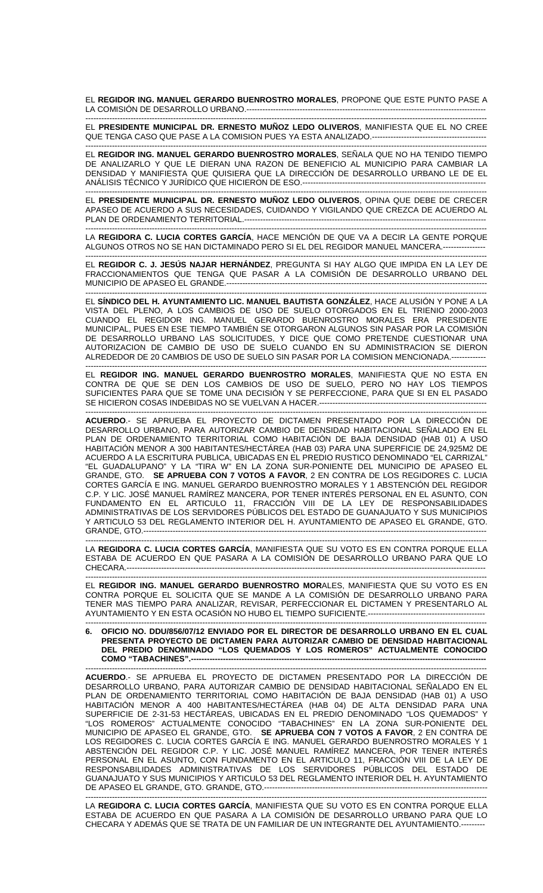EL **REGIDOR ING. MANUEL GERARDO BUENROSTRO MORALES**, PROPONE QUE ESTE PUNTO PASE A LA COMISIÓN DE DESARROLLO URBANO.---

------------------------------------------------------------------------------------------------------------------------------------------------------- EL **PRESIDENTE MUNICIPAL DR. ERNESTO MUÑOZ LEDO OLIVEROS**, MANIFIESTA QUE EL NO CREE QUE TENGA CASO QUE PASE A LA COMISION PUES YA ESTA ANALIZADO.-------------------------

------------------------------------------------------------------------------------------------------------------------------------------------------- EL **REGIDOR ING. MANUEL GERARDO BUENROSTRO MORALES**, SEÑALA QUE NO HA TENIDO TIEMPO DE ANALIZARLO Y QUE LE DIERAN UNA RAZON DE BENEFICIO AL MUNICIPIO PARA CAMBIAR LA DENSIDAD Y MANIFIESTA QUE QUISIERA QUE LA DIRECCIÓN DE DESARROLLO URBANO LE DE EL ANÁLISIS TÉCNICO Y JURÍDICO QUE HICIERON DE ESO.--------------------------

------------------------------------------------------------------------------------------------------------------------------------------------------- EL **PRESIDENTE MUNICIPAL DR. ERNESTO MUÑOZ LEDO OLIVEROS**, OPINA QUE DEBE DE CRECER APASEO DE ACUERDO A SUS NECESIDADES, CUIDANDO Y VIGILANDO QUE CREZCA DE ACUERDO AL PLAN DE ORDENAMIENTO TERRITORIAL.------------------------------------------------------------------------------------------- -------------------------------------------------------------------------------------------------------------------------------------------------------

LA **REGIDORA C. LUCIA CORTES GARCÍA**, HACE MENCIÓN DE QUE VA A DECIR LA GENTE PORQUE ALGUNOS OTROS NO SE HAN DICTAMINADO PERO SI EL DEL REGIDOR MANUEL MANCERA.----------------

------------------------------------------------------------------------------------------------------------------------------------------------------- EL **REGIDOR C. J. JESÚS NAJAR HERNÁNDEZ**, PREGUNTA SI HAY ALGO QUE IMPIDA EN LA LEY DE FRACCIONAMIENTOS QUE TENGA QUE PASAR A LA COMISIÓN DE DESARROLLO URBANO DEL MUNICIPIO DE APASEO EL GRANDE.--------------------------------------------------------------------------------------------------

------------------------------------------------------------------------------------------------------------------------------------------------------- EL **SÍNDICO DEL H. AYUNTAMIENTO LIC. MANUEL BAUTISTA GONZÁLEZ**, HACE ALUSIÓN Y PONE A LA VISTA DEL PLENO, A LOS CAMBIOS DE USO DE SUELO OTORGADOS EN EL TRIENIO 2000-2003 CUANDO EL REGIDOR ING. MANUEL GERARDO BUENROSTRO MORALES ERA PRESIDENTE MUNICIPAL, PUES EN ESE TIEMPO TAMBIÉN SE OTORGARON ALGUNOS SIN PASAR POR LA COMISIÓN DE DESARROLLO URBANO LAS SOLICITUDES, Y DICE QUE COMO PRETENDE CUESTIONAR UNA AUTORIZACION DE CAMBIO DE USO DE SUELO CUANDO EN SU ADMINISTRACION SE DIERON ALREDEDOR DE 20 CAMBIOS DE USO DE SUELO SIN PASAR POR LA COMISION MENCIONADA.-------------

------------------------------------------------------------------------------------------------------------------------------------------------------- EL **REGIDOR ING. MANUEL GERARDO BUENROSTRO MORALES**, MANIFIESTA QUE NO ESTA EN CONTRA DE QUE SE DEN LOS CAMBIOS DE USO DE SUELO, PERO NO HAY LOS TIEMPOS SUFICIENTES PARA QUE SE TOME UNA DECISIÓN Y SE PERFECCIONE, PARA QUE SI EN EL PASADO SE HICIERON COSAS INDEBIDAS NO SE VUELVAN A HACER.----

------------------------------------------------------------------------------------------------------------------------------------------------------- **ACUERDO**.- SE APRUEBA EL PROYECTO DE DICTAMEN PRESENTADO POR LA DIRECCIÓN DE DESARROLLO URBANO, PARA AUTORIZAR CAMBIO DE DENSIDAD HABITACIONAL SEÑALADO EN EL PLAN DE ORDENAMIENTO TERRITORIAL COMO HABITACIÓN DE BAJA DENSIDAD (HAB 01) A USO HABITACIÓN MENOR A 300 HABITANTES/HECTÁREA (HAB 03) PARA UNA SUPERFICIE DE 24,925M2 DE ACUERDO A LA ESCRITURA PUBLICA, UBICADAS EN EL PREDIO RUSTICO DENOMINADO "EL CARRIZAL" "EL GUADALUPANO" Y LA "TIRA W" EN LA ZONA SUR-PONIENTE DEL MUNICIPIO DE APASEO EL GRANDE, GTO. **SE APRUEBA CON 7 VOTOS A FAVOR**, 2 EN CONTRA DE LOS REGIDORES C. LUCIA CORTES GARCÍA E ING. MANUEL GERARDO BUENROSTRO MORALES Y 1 ABSTENCIÓN DEL REGIDOR C.P. Y LIC. JOSÉ MANUEL RAMÍREZ MANCERA, POR TENER INTERÉS PERSONAL EN EL ASUNTO, CON FUNDAMENTO EN EL ARTICULO 11, FRACCIÓN VIII DE LA LEY DE RESPONSABILIDADES ADMINISTRATIVAS DE LOS SERVIDORES PÚBLICOS DEL ESTADO DE GUANAJUATO Y SUS MUNICIPIOS Y ARTICULO 53 DEL REGLAMENTO INTERIOR DEL H. AYUNTAMIENTO DE APASEO EL GRANDE, GTO. GRANDE, GTO.---------------------------------------------------------------------------------------------------------------------------------

------------------------------------------------------------------------------------------------------------------------------------------------------- LA **REGIDORA C. LUCIA CORTES GARCÍA**, MANIFIESTA QUE SU VOTO ES EN CONTRA PORQUE ELLA ESTABA DE ACUERDO EN QUE PASARA A LA COMISIÓN DE DESARROLLO URBANO PARA QUE LO CHECARA.---------------------------------------------------------------------------------------------------------------------------------------

------------------------------------------------------------------------------------------------------------------------------------------------------- EL **REGIDOR ING. MANUEL GERARDO BUENROSTRO MOR**ALES, MANIFIESTA QUE SU VOTO ES EN CONTRA PORQUE EL SOLICITA QUE SE MANDE A LA COMISIÓN DE DESARROLLO URBANO PARA TENER MAS TIEMPO PARA ANALIZAR, REVISAR, PERFECCIONAR EL DICTAMEN Y PRESENTARLO AL AYUNTAMIENTO Y EN ESTA OCASIÓN NO HUBO EL TIEMPO SUFICIENTE.--------------------------------------------

------------------------------------------------------------------------------------------------------------------------------------------------------- **6. OFICIO NO. DDU/856/07/12 ENVIADO POR EL DIRECTOR DE DESARROLLO URBANO EN EL CUAL PRESENTA PROYECTO DE DICTAMEN PARA AUTORIZAR CAMBIO DE DENSIDAD HABITACIONAL DEL PREDIO DENOMINADO "LOS QUEMADOS Y LOS ROMEROS" ACTUALMENTE CONOCIDO**  COMO "TABACHINES".--

------------------------------------------------------------------------------------------------------------------------------------------------------- **ACUERDO**.- SE APRUEBA EL PROYECTO DE DICTAMEN PRESENTADO POR LA DIRECCIÓN DE DESARROLLO URBANO, PARA AUTORIZAR CAMBIO DE DENSIDAD HABITACIONAL SEÑALADO EN EL PLAN DE ORDENAMIENTO TERRITORIAL COMO HABITACIÓN DE BAJA DENSIDAD (HAB 01) A USO HABITACIÓN MENOR A 400 HABITANTES/HECTÁREA (HAB 04) DE ALTA DENSIDAD PARA UNA SUPERFICIE DE 2-31-53 HECTÁREAS, UBICADAS EN EL PREDIO DENOMINADO "LOS QUEMADOS" Y "LOS ROMEROS" ACTUALMENTE CONOCIDO "TABACHINES" EN LA ZONA SUR-PONIENTE DEL MUNICIPIO DE APASEO EL GRANDE, GTO. **SE APRUEBA CON 7 VOTOS A FAVOR**, 2 EN CONTRA DE LOS REGIDORES C. LUCIA CORTES GARCÍA E ING. MANUEL GERARDO BUENROSTRO MORALES Y 1 ABSTENCIÓN DEL REGIDOR C.P. Y LIC. JOSÉ MANUEL RAMÍREZ MANCERA, POR TENER INTERÉS PERSONAL EN EL ASUNTO, CON FUNDAMENTO EN EL ARTICULO 11, FRACCIÓN VIII DE LA LEY DE RESPONSABILIDADES ADMINISTRATIVAS DE LOS SERVIDORES PÚBLICOS DEL ESTADO DE GUANAJUATO Y SUS MUNICIPIOS Y ARTICULO 53 DEL REGLAMENTO INTERIOR DEL H. AYUNTAMIENTO DE APASEO EL GRANDE, GTO. GRANDE, GTO.------------

------------------------------------------------------------------------------------------------------------------------------------------------------- LA **REGIDORA C. LUCIA CORTES GARCÍA**, MANIFIESTA QUE SU VOTO ES EN CONTRA PORQUE ELLA ESTABA DE ACUERDO EN QUE PASARA A LA COMISIÓN DE DESARROLLO URBANO PARA QUE LO CHECARA Y ADEMÁS QUE SE TRATA DE UN FAMILIAR DE UN INTEGRANTE DEL AYUNTAMIENTO.---------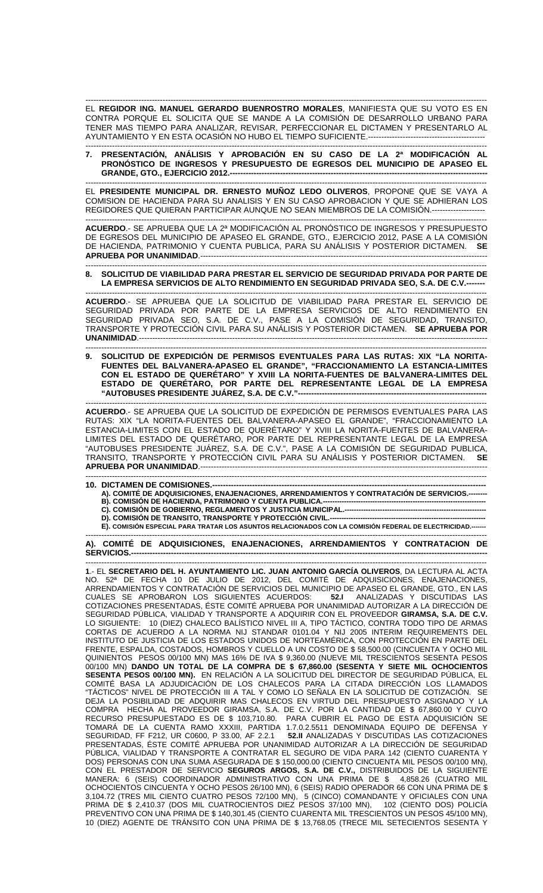------------------------------------------------------------------------------------------------------------------------------------------------------- EL **REGIDOR ING. MANUEL GERARDO BUENROSTRO MORALES**, MANIFIESTA QUE SU VOTO ES EN CONTRA PORQUE EL SOLICITA QUE SE MANDE A LA COMISIÓN DE DESARROLLO URBANO PARA TENER MAS TIEMPO PARA ANALIZAR, REVISAR, PERFECCIONAR EL DICTAMEN Y PRESENTARLO AL AYUNTAMIENTO Y EN ESTA OCASIÓN NO HUBO EL TIEMPO SUFICIENTE.--------------------------

------------------------------------------------------------------------------------------------------------------------------------------------------- **7. PRESENTACIÓN, ANÁLISIS Y APROBACIÓN EN SU CASO DE LA 2ª MODIFICACIÓN AL PRONÓSTICO DE INGRESOS Y PRESUPUESTO DE EGRESOS DEL MUNICIPIO DE APASEO EL GRANDE, GTO., EJERCICIO 2012.---**

------------------------------------------------------------------------------------------------------------------------------------------------------- EL **PRESIDENTE MUNICIPAL DR. ERNESTO MUÑOZ LEDO OLIVEROS**, PROPONE QUE SE VAYA A COMISION DE HACIENDA PARA SU ANALISIS Y EN SU CASO APROBACION Y QUE SE ADHIERAN LOS REGIDORES QUE QUIERAN PARTICIPAR AUNQUE NO SEAN MIEMBROS DE LA COMISIÓN.--------------------

------------------------------------------------------------------------------------------------------------------------------------------------------- **ACUERDO**.- SE APRUEBA QUE LA 2ª MODIFICACIÓN AL PRONÓSTICO DE INGRESOS Y PRESUPUESTO DE EGRESOS DEL MUNICIPIO DE APASEO EL GRANDE, GTO., EJERCICIO 2012, PASE A LA COMISIÓN DE HACIENDA, PATRIMONIO Y CUENTA PUBLICA, PARA SU ANÁLISIS Y POSTERIOR DICTAMEN. **SE APRUEBA POR UNANIMIDAD**.------------------------------------------------------------------------------------------------------------

**8. SOLICITUD DE VIABILIDAD PARA PRESTAR EL SERVICIO DE SEGURIDAD PRIVADA POR PARTE DE**  LA EMPRESA SERVICIOS DE ALTO RENDIMIENTO EN SEGURIDAD PRIVADA SEO, S.A. DE C.V.---

------------------------------------------------------------------------------------------------------------------------------------------------------- **ACUERDO**.- SE APRUEBA QUE LA SOLICITUD DE VIABILIDAD PARA PRESTAR EL SERVICIO DE SEGURIDAD PRIVADA POR PARTE DE LA EMPRESA SERVICIOS DE ALTO RENDIMIENTO EN SEGURIDAD PRIVADA SEO, S.A. DE C.V., PASE A LA COMISIÓN DE SEGURIDAD, TRANSITO, TRANSPORTE Y PROTECCIÓN CIVIL PARA SU ANÁLISIS Y POSTERIOR DICTAMEN. **SE APRUEBA POR UNANIMIDAD**.-----------------------------------------------------------------------------------------------------------------------------------

------------------------------------------------------------------------------------------------------------------------------------------------------- SOLICITUD DE EXPEDICIÓN DE PERMISOS EVENTUALES PARA LAS RUTAS: XIX "LA NORITA-**FUENTES DEL BALVANERA-APASEO EL GRANDE", "FRACCIONAMIENTO LA ESTANCIA-LIMITES CON EL ESTADO DE QUERÉTARO" Y XVIII LA NORITA-FUENTES DE BALVANERA-LIMITES DEL ESTADO DE QUERÉTARO, POR PARTE DEL REPRESENTANTE LEGAL DE LA EMPRESA "AUTOBUSES PRESIDENTE JUÁREZ, S.A. DE C.V."-----------------------------------------------------------------------** 

------------------------------------------------------------------------------------------------------------------------------------------------------- **ACUERDO**.- SE APRUEBA QUE LA SOLICITUD DE EXPEDICIÓN DE PERMISOS EVENTUALES PARA LAS RUTAS: XIX "LA NORITA-FUENTES DEL BALVANERA-APASEO EL GRANDE", "FRACCIONAMIENTO LA ESTANCIA-LIMITES CON EL ESTADO DE QUERÉTARO" Y XVIII LA NORITA-FUENTES DE BALVANERA-LIMITES DEL ESTADO DE QUERÉTARO, POR PARTE DEL REPRESENTANTE LEGAL DE LA EMPRESA "AUTOBUSES PRESIDENTE JUÁREZ, S.A. DE C.V.", PASE A LA COMISIÓN DE SEGURIDAD PUBLICA, TRANSITO, TRANSPORTE Y PROTECCIÓN CIVIL PARA SU ANÁLISIS Y POSTERIOR DICTAMEN. **SE APRUEBA POR UNANIMIDAD.--------**

- ------------------------------------------------------------------------------------------------------------------------------------------------------- **10. DICTAMEN DE COMISIONES.-**A). COMITÉ DE ADQUISICIONES, ENAJENACIONES, ARRENDAMIENTOS Y CONTRATACIÓN DE SERVICIOS.---
	- **B). COMISIÓN DE HACIENDA, PATRIMONIO Y CUENTA PUBLICA.---------------------------------------------------------------------**
	- **C). COMISIÓN DE GOBIERNO, REGLAMENTOS Y JUSTICIA MUNICIPAL.------------------------------------------------------------**

**D). COMISIÓN DE TRANSITO, TRANSPORTE Y PROTECCIÓN CIVIL.--**

**E). COMISIÓN ESPECIAL PARA TRATAR LOS ASUNTOS RELACIONADOS CON LA COMISIÓN FEDERAL DE ELECTRICIDAD.---**-------------------------------------------------------------------------------------------------------------------------------------------------------

**A). COMITÉ DE ADQUISICIONES, ENAJENACIONES, ARRENDAMIENTOS Y CONTRATACION DE**  SERVICIOS.--

------------------------------------------------------------------------------------------------------------------------------------------------------- **1**.- EL **SECRETARIO DEL H. AYUNTAMIENTO LIC. JUAN ANTONIO GARCÍA OLIVEROS**, DA LECTURA AL ACTA NO. 52ª DE FECHA 10 DE JULIO DE 2012, DEL COMITÉ DE ADQUISICIONES, ENAJENACIONES, ARRENDAMIENTOS Y CONTRATACIÓN DE SERVICIOS DEL MUNICIPIO DE APASEO EL GRANDE, GTO., EN LAS CUALES SE APROBARON LOS SIGUIENTES ACUERDOS: **52.I** ANALIZADAS Y DISCUTIDAS LAS COTIZACIONES PRESENTADAS, ÉSTE COMITÉ APRUEBA POR UNANIMIDAD AUTORIZAR A LA DIRECCIÓN DE SEGURIDAD PÚBLICA, VIALIDAD Y TRANSPORTE A ADQUIRIR CON EL PROVEEDOR **GIRAMSA, S.A. DE C.V.** LO SIGUIENTE: 10 (DIEZ) CHALECO BALÍSTICO NIVEL III A, TIPO TÁCTICO, CONTRA TODO TIPO DE ARMAS CORTAS DE ACUERDO A LA NORMA NIJ STANDAR 0101.04 Y NIJ 2005 INTERIM REQUIREMENTS DEL INSTITUTO DE JUSTICIA DE LOS ESTADOS UNIDOS DE NORTEAMÉRICA, CON PROTECCIÓN EN PARTE DEL FRENTE, ESPALDA, COSTADOS, HOMBROS Y CUELLO A UN COSTO DE \$ 58,500.00 (CINCUENTA Y OCHO MIL QUINIENTOS PESOS 00/100 MN) MAS 16% DE IVA \$ 9,360.00 (NUEVE MIL TRESCIENTOS SESENTA PESOS 00/100 MN) **DANDO UN TOTAL DE LA COMPRA DE \$ 67,860.00 (SESENTA Y SIETE MIL OCHOCIENTOS SESENTA PESOS 00/100 MN).** EN RELACIÓN A LA SOLICITUD DEL DIRECTOR DE SEGURIDAD PÚBLICA, EL COMITÉ BASA LA ADJUDICACIÓN DE LOS CHALECOS PARA LA CITADA DIRECCIÓN LOS LLAMADOS "TÁCTICOS" NIVEL DE PROTECCIÓN III A TAL Y COMO LO SEÑALA EN LA SOLICITUD DE COTIZACIÓN. SE DEJA LA POSIBILIDAD DE ADQUIRIR MAS CHALECOS EN VIRTUD DEL PRESUPUESTO ASIGNADO Y LA COMPRA HECHA AL PROVEEDOR GIRAMSA, S.A. DE C.V. POR LA CANTIDAD DE \$ 67,860.00 Y CUYO RECURSO PRESUPUESTADO ES DE \$ 103,710.80. PARA CUBRIR EL PAGO DE ESTA ADQUISICIÓN SE TOMARÁ DE LA CUENTA RAMO XXXIII, PARTIDA 1.7.0.2.5511 DENOMINADA EQUIPO DE DEFENSA Y SEGURIDAD, FF F212, UR C0600, P 33.00, AF 2.2.1 **52.II** ANALIZADAS Y DISCUTIDAS LAS COTIZACIONES PRESENTADAS, ÉSTE COMITÉ APRUEBA POR UNANIMIDAD AUTORIZAR A LA DIRECCIÓN DE SEGURIDAD PÚBLICA, VIALIDAD Y TRANSPORTE A CONTRATAR EL SEGURO DE VIDA PARA 142 (CIENTO CUARENTA Y DOS) PERSONAS CON UNA SUMA ASEGURADA DE \$ 150,000.00 (CIENTO CINCUENTA MIL PESOS 00/100 MN), CON EL PRESTADOR DE SERVICIO **SEGUROS ARGOS, S.A. DE C.V.,** DISTRIBUIDOS DE LA SIGUIENTE MANERA: 6 (SEIS) COORDINADOR ADMINISTRATIVO CON UNA PRIMA DE \$ 4,858.26 (CUATRO MIL OCHOCIENTOS CINCUENTA Y OCHO PESOS 26/100 MN), 6 (SEIS) RADIO OPERADOR 66 CON UNA PRIMA DE \$ 3,104.72 (TRES MIL CIENTO CUATRO PESOS 72/100 MN), 5 (CINCO) COMANDANTE Y OFICIALES CON UNA PRIMA DE \$ 2,410.37 (DOS MIL CUATROCIENTOS DIEZ PESOS 37/100 MN), 102 (CIENTO DOS) POLICÍA PREVENTIVO CON UNA PRIMA DE \$ 140,301.45 (CIENTO CUARENTA MIL TRESCIENTOS UN PESOS 45/100 MN), 10 (DIEZ) AGENTE DE TRÁNSITO CON UNA PRIMA DE \$ 13,768.05 (TRECE MIL SETECIENTOS SESENTA Y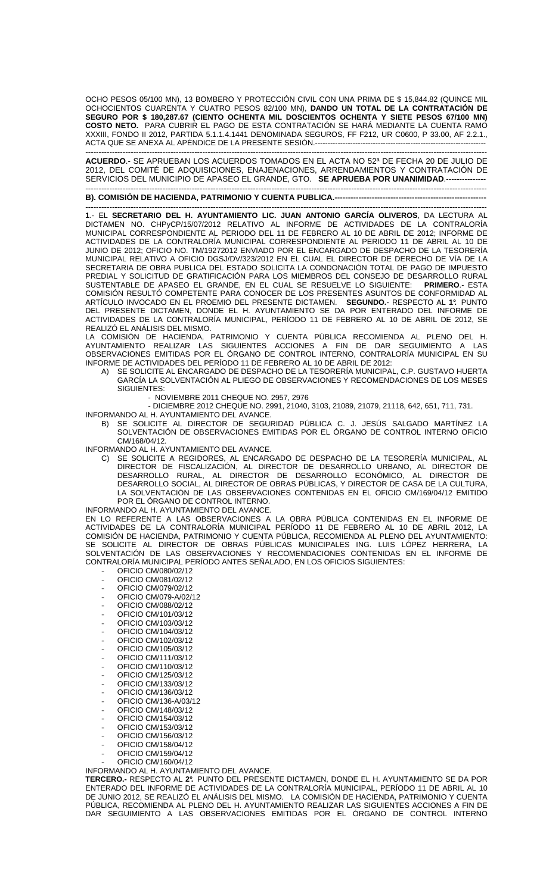OCHO PESOS 05/100 MN), 13 BOMBERO Y PROTECCIÓN CIVIL CON UNA PRIMA DE \$ 15,844.82 (QUINCE MIL OCHOCIENTOS CUARENTA Y CUATRO PESOS 82/100 MN), **DANDO UN TOTAL DE LA CONTRATACIÓN DE SEGURO POR \$ 180,287.67 (CIENTO OCHENTA MIL DOSCIENTOS OCHENTA Y SIETE PESOS 67/100 MN) COSTO NETO.** PARA CUBRIR EL PAGO DE ESTA CONTRATACIÓN SE HARÁ MEDIANTE LA CUENTA RAMO XXXIII, FONDO II 2012, PARTIDA 5.1.1.4.1441 DENOMINADA SEGUROS, FF F212, UR C0600, P 33.00, AF 2.2.1., ACTA QUE SE ANEXA AL APÉNDICE DE LA PRESENTE SESIÓN.--------------------------------------------------------------------

------------------------------------------------------------------------------------------------------------------------------------------------------- **ACUERDO**.- SE APRUEBAN LOS ACUERDOS TOMADOS EN EL ACTA NO 52ª DE FECHA 20 DE JULIO DE 2012, DEL COMITÉ DE ADQUISICIONES, ENAJENACIONES, ARRENDAMIENTOS Y CONTRATACIÓN DE SERVICIOS DEL MUNICIPIO DE APASEO EL GRANDE, GTO. **SE APRUEBA POR UNANIMIDAD**.---------------

### ------------------------------------------------------------------------------------------------------------------------------------------------------- **B). COMISIÓN DE HACIENDA, PATRIMONIO Y CUENTA PUBLICA.----**

------------------------------------------------------------------------------------------------------------------------------------------------------- **1**.- EL **SECRETARIO DEL H. AYUNTAMIENTO LIC. JUAN ANTONIO GARCÍA OLIVEROS**, DA LECTURA AL DICTAMEN NO. CHPyCP/15/07/2012 RELATIVO AL INFORME DE ACTIVIDADES DE LA CONTRALORÍA MUNICIPAL CORRESPONDIENTE AL PERIODO DEL 11 DE FEBRERO AL 10 DE ABRIL DE 2012; INFORME DE ACTIVIDADES DE LA CONTRALORÍA MUNICIPAL CORRESPONDIENTE AL PERIODO 11 DE ABRIL AL 10 DE JUNIO DE 2012; OFICIO NO. TM/19272012 ENVIADO POR EL ENCARGADO DE DESPACHO DE LA TESORERÍA MUNICIPAL RELATIVO A OFICIO DGSJ/DV/323/2012 EN EL CUAL EL DIRECTOR DE DERECHO DE VÍA DE LA SECRETARIA DE OBRA PUBLICA DEL ESTADO SOLICITA LA CONDONACIÓN TOTAL DE PAGO DE IMPUESTO PREDIAL Y SOLICITUD DE GRATIFICACIÓN PARA LOS MIEMBROS DEL CONSEJO DE DESARROLLO RURAL SUSTENTABLE DE APASEO EL GRANDE, EN EL CUAL SE RESUELVE LO SIGUIENTE: **PRIMERO**.- ESTA COMISIÓN RESULTÓ COMPETENTE PARA CONOCER DE LOS PRESENTES ASUNTOS DE CONFORMIDAD AL ARTÍCULO INVOCADO EN EL PROEMIO DEL PRESENTE DICTAMEN. **SEGUNDO.**- RESPECTO AL **1°.** PUNTO DEL PRESENTE DICTAMEN, DONDE EL H. AYUNTAMIENTO SE DA POR ENTERADO DEL INFORME DE ACTIVIDADES DE LA CONTRALORÍA MUNICIPAL, PERÍODO 11 DE FEBRERO AL 10 DE ABRIL DE 2012, SE REALIZÓ EL ANÁLISIS DEL MISMO.

LA COMISIÓN DE HACIENDA, PATRIMONIO Y CUENTA PÚBLICA RECOMIENDA AL PLENO DEL H. AYUNTAMIENTO REALIZAR LAS SIGUIENTES ACCIONES A FIN DE DAR SEGUIMIENTO A LAS OBSERVACIONES EMITIDAS POR EL ÓRGANO DE CONTROL INTERNO, CONTRALORÍA MUNICIPAL EN SU INFORME DE ACTIVIDADES DEL PERÍODO 11 DE FEBRERO AL 10 DE ABRIL DE 2012:

- A) SE SOLICITE AL ENCARGADO DE DESPACHO DE LA TESORERÍA MUNICIPAL, C.P. GUSTAVO HUERTA GARCÍA LA SOLVENTACIÓN AL PLIEGO DE OBSERVACIONES Y RECOMENDACIONES DE LOS MESES SIGUIENTES:
	- NOVIEMBRE 2011 CHEQUE NO. 2957, 2976

- DICIEMBRE 2012 CHEQUE NO. 2991, 21040, 3103, 21089, 21079, 21118, 642, 651, 711, 731. INFORMANDO AL H. AYUNTAMIENTO DEL AVANCE.

B) SE SOLICITE AL DIRECTOR DE SEGURIDAD PÚBLICA C. J. JESÚS SALGADO MARTÍNEZ LA SOLVENTACIÓN DE OBSERVACIONES EMITIDAS POR EL ÓRGANO DE CONTROL INTERNO OFICIO CM/168/04/12.

INFORMANDO AL H. AYUNTAMIENTO DEL AVANCE.

- C) SE SOLICITE A REGIDORES, AL ENCARGADO DE DESPACHO DE LA TESORERÍA MUNICIPAL, AL DIRECTOR DE FISCALIZACIÓN, AL DIRECTOR DE DESARROLLO URBANO, AL DIRECTOR DE DESARROLLO RURAL, AL DIRECTOR DE DESARROLLO ECONÓMICO, AL DIRECTOR DE DESARROLLO SOCIAL, AL DIRECTOR DE OBRAS PÚBLICAS, Y DIRECTOR DE CASA DE LA CULTURA, LA SOLVENTACIÓN DE LAS OBSERVACIONES CONTENIDAS EN EL OFICIO CM/169/04/12 EMITIDO POR EL ÓRGANO DE CONTROL INTERNO.
- INFORMANDO AL H. AYUNTAMIENTO DEL AVANCE.

EN LO REFERENTE A LAS OBSERVACIONES A LA OBRA PÚBLICA CONTENIDAS EN EL INFORME DE ACTIVIDADES DE LA CONTRALORÍA MUNICIPAL PERÍODO 11 DE FEBRERO AL 10 DE ABRIL 2012, LA COMISIÓN DE HACIENDA, PATRIMONIO Y CUENTA PÚBLICA, RECOMIENDA AL PLENO DEL AYUNTAMIENTO: SE SOLICITE AL DIRECTOR DE OBRAS PÚBLICAS MUNICIPALES ING. LUIS LÓPEZ HERRERA, LA SOLVENTACIÓN DE LAS OBSERVACIONES Y RECOMENDACIONES CONTENIDAS EN EL INFORME DE CONTRALORÍA MUNICIPAL PERÍODO ANTES SEÑALADO, EN LOS OFICIOS SIGUIENTES:

- OFICIO CM/080/02/12
- OFICIO CM/081/02/12
- OFICIO CM/079/02/12
- OFICIO CM/079-A/02/12
- OFICIO CM/088/02/12
- OFICIO CM/101/03/12
- OFICIO CM/103/03/12
- OFICIO CM/104/03/12
- OFICIO CM/102/03/12
- OFICIO CM/105/03/12 - OFICIO CM/111/03/12
- OFICIO CM/110/03/12
- OFICIO CM/125/03/12
- OFICIO CM/133/03/12
- OFICIO CM/136/03/12
- OFICIO CM/136-A/03/12
- OFICIO CM/148/03/12
- OFICIO CM/154/03/12
- OFICIO CM/153/03/12
- OFICIO CM/156/03/12
- OFICIO CM/158/04/12
- OFICIO CM/159/04/12 - OFICIO CM/160/04/12

INFORMANDO AL H. AYUNTAMIENTO DEL AVANCE.

**TERCERO.-** RESPECTO AL **2°.** PUNTO DEL PRESENTE DICTAMEN, DONDE EL H. AYUNTAMIENTO SE DA POR ENTERADO DEL INFORME DE ACTIVIDADES DE LA CONTRALORÍA MUNICIPAL, PERÍODO 11 DE ABRIL AL 10 DE JUNIO 2012, SE REALIZÓ EL ANÁLISIS DEL MISMO. LA COMISIÓN DE HACIENDA, PATRIMONIO Y CUENTA PÚBLICA, RECOMIENDA AL PLENO DEL H. AYUNTAMIENTO REALIZAR LAS SIGUIENTES ACCIONES A FIN DE DAR SEGUIMIENTO A LAS OBSERVACIONES EMITIDAS POR EL ÓRGANO DE CONTROL INTERNO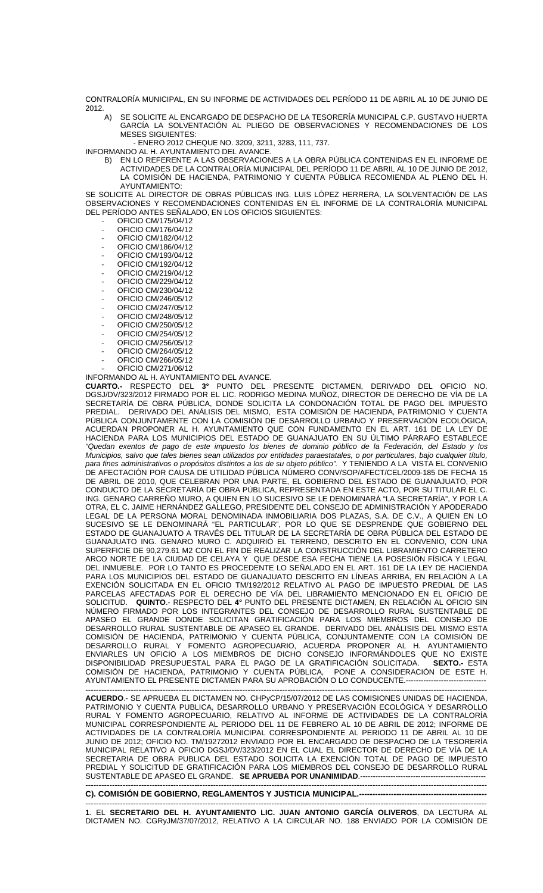CONTRALORÍA MUNICIPAL, EN SU INFORME DE ACTIVIDADES DEL PERÍODO 11 DE ABRIL AL 10 DE JUNIO DE  $2012.$  A)

- SE SOLICITE AL ENCARGADO DE DESPACHO DE LA TESORERÍA MUNICIPAL C.P. GUSTAVO HUERTA GARCÍA LA SOLVENTACIÓN AL PLIEGO DE OBSERVACIONES Y RECOMENDACIONES DE LOS MESES SIGUIENTES:
	- ENERO 2012 CHEQUE NO. 3209, 3211, 3283, 111, 737.

INFORMANDO AL H. AYUNTAMIENTO DEL AVANCE.

B) EN LO REFERENTE A LAS OBSERVACIONES A LA OBRA PÚBLICA CONTENIDAS EN EL INFORME DE ACTIVIDADES DE LA CONTRALORÍA MUNICIPAL DEL PERÍODO 11 DE ABRIL AL 10 DE JUNIO DE 2012, LA COMISIÓN DE HACIENDA, PATRIMONIO Y CUENTA PÚBLICA RECOMIENDA AL PLENO DEL H. AYUNTAMIENTO:

SE SOLICITE AL DIRECTOR DE OBRAS PÚBLICAS ING. LUIS LÓPEZ HERRERA, LA SOLVENTACIÓN DE LAS OBSERVACIONES Y RECOMENDACIONES CONTENIDAS EN EL INFORME DE LA CONTRALORÍA MUNICIPAL DEL PERÍODO ANTES SEÑALADO, EN LOS OFICIOS SIGUIENTES:

- OFICIO CM/175/04/12
- OFICIO CM/176/04/12
- OFICIO CM/182/04/12 - OFICIO CM/186/04/12
- OFICIO CM/193/04/12
- OFICIO CM/192/04/12
- OFICIO CM/219/04/12
- OFICIO CM/229/04/12
- OFICIO CM/230/04/12 - OFICIO CM/246/05/12
- OFICIO CM/247/05/12
- OFICIO CM/248/05/12
- OFICIO CM/250/05/12
- OFICIO CM/254/05/12
- OFICIO CM/256/05/12
- OFICIO CM/264/05/12
- OFICIO CM/266/05/12
- OFICIO CM/271/06/12

INFORMANDO AL H. AYUNTAMIENTO DEL AVANCE.

**CUARTO.-** RESPECTO DEL **3°** PUNTO DEL PRESENTE DICTAMEN, DERIVADO DEL OFICIO NO. DGSJ/DV/323/2012 FIRMADO POR EL LIC. RODRIGO MEDINA MUÑOZ, DIRECTOR DE DERECHO DE VÍA DE LA SECRETARÍA DE OBRA PÚBLICA, DONDE SOLICITA LA CONDONACIÓN TOTAL DE PAGO DEL IMPUESTO PREDIAL. DERIVADO DEL ANÁLISIS DEL MISMO, ESTA COMISIÓN DE HACIENDA, PATRIMONIO Y CUENTA PÚBLICA CONJUNTAMENTE CON LA COMISIÓN DE DESARROLLO URBANO Y PRESERVACIÓN ECOLÓGICA, ACUERDAN PROPONER AL H. AYUNTAMIENTO QUE CON FUNDAMENTO EN EL ART. 161 DE LA LEY DE HACIENDA PARA LOS MUNICIPIOS DEL ESTADO DE GUANAJUATO EN SU ÚLTIMO PÁRRAFO ESTABLECE "Quedan exentos de pago de este impuesto los bienes de dominio público de la Federación, del Estado y los Municipios, salvo que tales bienes sean utilizados por entidades paraestatales, o por particulares, bajo cualquier título, para fines administrativos o propósitos distintos a los de su objeto público". Y TENIENDO A LA VISTA EL CONVENIO DE AFECTACIÓN POR CAUSA DE UTILIDAD PÚBLICA NÚMERO CONV/SOP/AFECT/CEL/2009-185 DE FECHA 15 DE ABRIL DE 2010, QUE CELEBRAN POR UNA PARTE, EL GOBIERNO DEL ESTADO DE GUANAJUATO, POR CONDUCTO DE LA SECRETARÍA DE OBRA PÚBLICA, REPRESENTADA EN ESTE ACTO, POR SU TITULAR EL C. ING. GENARO CARREÑO MURO, A QUIEN EN LO SUCESIVO SE LE DENOMINARÁ "LA SECRETARÍA", Y POR LA OTRA, EL C. JAIME HERNÁNDEZ GALLEGO, PRESIDENTE DEL CONSEJO DE ADMINISTRACIÓN Y APODERADO LEGAL DE LA PERSONA MORAL DENOMINADA INMOBILIARIA DOS PLAZAS, S.A. DE C.V., A QUIEN EN LO SUCESIVO SE LE DENOMINARÁ "EL PARTICULAR", POR LO QUE SE DESPRENDE QUE GOBIERNO DEL ESTADO DE GUANAJUATO A TRAVÉS DEL TITULAR DE LA SECRETARÍA DE OBRA PÚBLICA DEL ESTADO DE GUANAJUATO ING. GENARO MURO C. ADQUIRIÓ EL TERRENO, DESCRITO EN EL CONVENIO, CON UNA SUPERFICIE DE 90,279.61 M2 CON EL FIN DE REALIZAR LA CONSTRUCCIÓN DEL LIBRAMIENTO CARRETERO ARCO NORTE DE LA CIUDAD DE CELAYA Y QUE DESDE ESA FECHA TIENE LA POSESIÓN FÍSICA Y LEGAL DEL INMUEBLE. POR LO TANTO ES PROCEDENTE LO SEÑALADO EN EL ART. 161 DE LA LEY DE HACIENDA PARA LOS MUNICIPIOS DEL ESTADO DE GUANAJUATO DESCRITO EN LÍNEAS ARRIBA, EN RELACIÓN A LA EXENCIÓN SOLICITADA EN EL OFICIO TM/192/2012 RELATIVO AL PAGO DE IMPUESTO PREDIAL DE LAS PARCELAS AFECTADAS POR EL DERECHO DE VÍA DEL LIBRAMIENTO MENCIONADO EN EL OFICIO DE SOLICITUD. **QUINTO**.- RESPECTO DEL **4°** PUNTO DEL PRESENTE DICTAMEN, EN RELACIÓN AL OFICIO SIN NÚMERO FIRMADO POR LOS INTEGRANTES DEL CONSEJO DE DESARROLLO RURAL SUSTENTABLE DE APASEO EL GRANDE DONDE SOLICITAN GRATIFICACIÓN PARA LOS MIEMBROS DEL CONSEJO DE DESARROLLO RURAL SUSTENTABLE DE APASEO EL GRANDE. DERIVADO DEL ANÁLISIS DEL MISMO ESTA COMISIÓN DE HACIENDA, PATRIMONIO Y CUENTA PÚBLICA, CONJUNTAMENTE CON LA COMISIÓN DE DESARROLLO RURAL Y FOMENTO AGROPECUARIO, ACUERDA PROPONER AL H. AYUNTAMIENTO ENVIARLES UN OFICIO A LOS MIEMBROS DE DICHO CONSEJO INFORMÁNDOLES QUE NO EXISTE DISPONIBILIDAD PRESUPUESTAL PARA EL PAGO DE LA GRATIFICACIÓN SOLICITADA. **SEXTO.-** ESTA COMISIÓN DE HACIENDA, PATRIMONIO Y CUENTA PÚBLICA, PONE A CONSIDERACIÓN DE ESTE H. AYUNTAMIENTO EL PRESENTE DICTAMEN PARA SU APROBACIÓN O LO CONDUCENTE.--------------------------------

------------------------------------------------------------------------------------------------------------------------------------------------------- **ACUERDO**.- SE APRUEBA EL DICTAMEN NO. CHPyCP/15/07/2012 DE LAS COMISIONES UNIDAS DE HACIENDA, PATRIMONIO Y CUENTA PUBLICA, DESARROLLO URBANO Y PRESERVACIÓN ECOLÓGICA Y DESARROLLO RURAL Y FOMENTO AGROPECUARIO, RELATIVO AL INFORME DE ACTIVIDADES DE LA CONTRALORÍA MUNICIPAL CORRESPONDIENTE AL PERIODO DEL 11 DE FEBRERO AL 10 DE ABRIL DE 2012; INFORME DE ACTIVIDADES DE LA CONTRALORÍA MUNICIPAL CORRESPONDIENTE AL PERIODO 11 DE ABRIL AL 10 DE JUNIO DE 2012; OFICIO NO. TM/19272012 ENVIADO POR EL ENCARGADO DE DESPACHO DE LA TESORERÍA MUNICIPAL RELATIVO A OFICIO DGSJ/DV/323/2012 EN EL CUAL EL DIRECTOR DE DERECHO DE VÍA DE LA SECRETARIA DE OBRA PUBLICA DEL ESTADO SOLICITA LA EXENCIÓN TOTAL DE PAGO DE IMPUESTO PREDIAL Y SOLICITUD DE GRATIFICACIÓN PARA LOS MIEMBROS DEL CONSEJO DE DESARROLLO RURAL SUSTENTABLE DE APASEO EL GRANDE. SE APRUEBA POR UNANIMIDAD.--------------------------------------------------------------------------------------------------------------------------------------------------------------------

**C). COMISIÓN DE GOBIERNO, REGLAMENTOS Y JUSTICIA MUNICIPAL.--**

------------------------------------------------------------------------------------------------------------------------------------------------------- **1**. EL **SECRETARIO DEL H. AYUNTAMIENTO LIC. JUAN ANTONIO GARCÍA OLIVEROS**, DA LECTURA AL DICTAMEN NO. CGRyJM/37/07/2012, RELATIVO A LA CIRCULAR NO. 188 ENVIADO POR LA COMISIÓN DE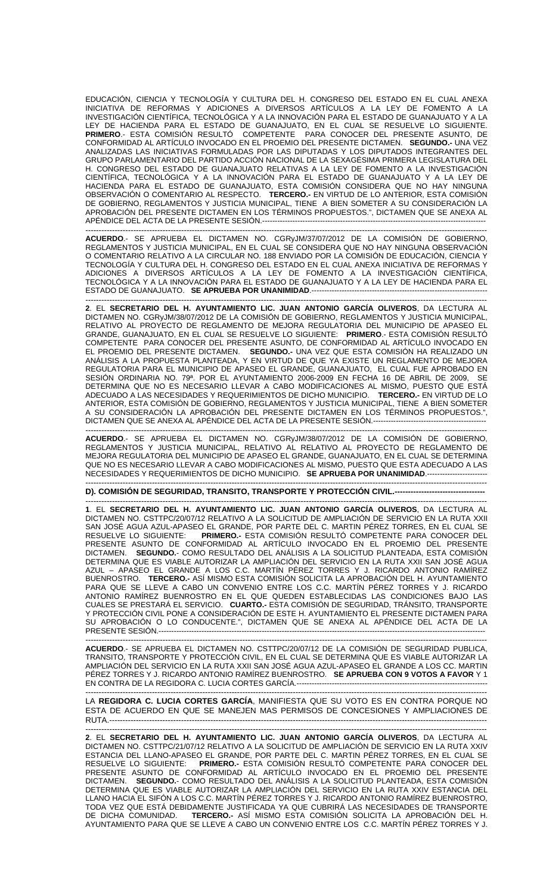EDUCACIÓN, CIENCIA Y TECNOLOGÍA Y CULTURA DEL H. CONGRESO DEL ESTADO EN EL CUAL ANEXA INICIATIVA DE REFORMAS Y ADICIONES A DIVERSOS ARTÍCULOS A LA LEY DE FOMENTO A LA INVESTIGACIÓN CIENTÍFICA, TECNOLÓGICA Y A LA INNOVACIÓN PARA EL ESTADO DE GUANAJUATO Y A LA LEY DE HACIENDA PARA EL ESTADO DE GUANAJUATO, EN EL CUAL SE RESUELVE LO SIGUIENTE. **PRIMERO**.- ESTA COMISIÓN RESULTÓ COMPETENTE PARA CONOCER DEL PRESENTE ASUNTO, DE CONFORMIDAD AL ARTÍCULO INVOCADO EN EL PROEMIO DEL PRESENTE DICTAMEN. **SEGUNDO.-** UNA VEZ ANALIZADAS LAS INICIATIVAS FORMULADAS POR LAS DIPUTADAS Y LOS DIPUTADOS INTEGRANTES DEL GRUPO PARLAMENTARIO DEL PARTIDO ACCIÓN NACIONAL DE LA SEXAGÉSIMA PRIMERA LEGISLATURA DEL H. CONGRESO DEL ESTADO DE GUANAJUATO RELATIVAS A LA LEY DE FOMENTO A LA INVESTIGACIÓN CIENTÍFICA, TECNOLÓGICA Y A LA INNOVACIÓN PARA EL ESTADO DE GUANAJUATO Y A LA LEY DE HACIENDA PARA EL ESTADO DE GUANAJUATO, ESTA COMISIÓN CONSIDERA QUE NO HAY NINGUNA OBSERVACIÓN O COMENTARIO AL RESPECTO. **TERCERO.-** EN VIRTUD DE LO ANTERIOR, ESTA COMISIÓN DE GOBIERNO, REGLAMENTOS Y JUSTICIA MUNICIPAL, TIENE A BIEN SOMETER A SU CONSIDERACIÓN LA APROBACIÓN DEL PRESENTE DICTAMEN EN LOS TÉRMINOS PROPUESTOS.", DICTAMEN QUE SE ANEXA AL APÉNDICE DEL ACTA DE LA PRESENTE SESIÓN.-----------------------------------------------------------------------------------------

------------------------------------------------------------------------------------------------------------------------------------------------------- **ACUERDO**.- SE APRUEBA EL DICTAMEN NO. CGRyJM/37/07/2012 DE LA COMISIÓN DE GOBIERNO, REGLAMENTOS Y JUSTICIA MUNICIPAL, EN EL CUAL SE CONSIDERA QUE NO HAY NINGUNA OBSERVACIÓN O COMENTARIO RELATIVO A LA CIRCULAR NO. 188 ENVIADO POR LA COMISIÓN DE EDUCACIÓN, CIENCIA Y TECNOLOGÍA Y CULTURA DEL H. CONGRESO DEL ESTADO EN EL CUAL ANEXA INICIATIVA DE REFORMAS Y ADICIONES A DIVERSOS ARTÍCULOS A LA LEY DE FOMENTO A LA INVESTIGACIÓN CIENTÍFICA, TECNOLÓGICA Y A LA INNOVACIÓN PARA EL ESTADO DE GUANAJUATO Y A LA LEY DE HACIENDA PARA EL ESTADO DE GUANAJUATO. SE APRUEBA POR UNANIMIDAD.--------------------------------

------------------------------------------------------------------------------------------------------------------------------------------------------- **2**. EL **SECRETARIO DEL H. AYUNTAMIENTO LIC. JUAN ANTONIO GARCÍA OLIVEROS**, DA LECTURA AL DICTAMEN NO. CGRyJM/38/07/2012 DE LA COMISIÓN DE GOBIERNO, REGLAMENTOS Y JUSTICIA MUNICIPAL, RELATIVO AL PROYECTO DE REGLAMENTO DE MEJORA REGULATORIA DEL MUNICIPIO DE APASEO EL GRANDE, GUANAJUATO, EN EL CUAL SE RESUELVE LO SIGUIENTE: **PRIMERO**.- ESTA COMISIÓN RESULTÓ COMPETENTE PARA CONOCER DEL PRESENTE ASUNTO, DE CONFORMIDAD AL ARTÍCULO INVOCADO EN EL PROEMIO DEL PRESENTE DICTAMEN. **SEGUNDO.-** UNA VEZ QUE ESTA COMISIÓN HA REALIZADO UN ANÁLISIS A LA PROPUESTA PLANTEADA, Y EN VIRTUD DE QUE YA EXISTE UN REGLAMENTO DE MEJORA REGULATORIA PARA EL MUNICIPIO DE APASEO EL GRANDE, GUANAJUATO, EL CUAL FUE APROBADO EN SESIÓN ORDINARIA NO. 79ª. POR EL AYUNTAMIENTO 2006-2009 EN FECHA 16 DE ABRIL DE 2009, SE DETERMINA QUE NO ES NECESARIO LLEVAR A CABO MODIFICACIONES AL MISMO, PUESTO QUE ESTÁ ADECUADO A LAS NECESIDADES Y REQUERIMIENTOS DE DICHO MUNICIPIO. **TERCERO.-** EN VIRTUD DE LO ANTERIOR, ESTA COMISIÓN DE GOBIERNO, REGLAMENTOS Y JUSTICIA MUNICIPAL, TIENE A BIEN SOMETER A SU CONSIDERACIÓN LA APROBACIÓN DEL PRESENTE DICTAMEN EN LOS TÉRMINOS PROPUESTOS.", DICTAMEN QUE SE ANEXA AL APÉNDICE DEL ACTA DE LA PRESENTE SESIÓN.---------------------------------------------

------------------------------------------------------------------------------------------------------------------------------------------------------- **ACUERDO**.- SE APRUEBA EL DICTAMEN NO. CGRyJM/38/07/2012 DE LA COMISIÓN DE GOBIERNO, REGLAMENTOS Y JUSTICIA MUNICIPAL, RELATIVO AL RELATIVO AL PROYECTO DE REGLAMENTO DE MEJORA REGULATORIA DEL MUNICIPIO DE APASEO EL GRANDE, GUANAJUATO, EN EL CUAL SE DETERMINA QUE NO ES NECESARIO LLEVAR A CABO MODIFICACIONES AL MISMO, PUESTO QUE ESTA ADECUADO A LAS NECESIDADES Y REQUERIMIENTOS DE DICHO MUNICIPIO. **SE APRUEBA POR UNANIMIDAD**.------------------------

-------------------------------------------------------------------------------------------------------------------------------------------------------

**D). COMISIÓN DE SEGURIDAD, TRANSITO, TRANSPORTE Y PROTECCIÓN CIVIL.---**

------------------------------------------------------------------------------------------------------------------------------------------------------- **1**. EL **SECRETARIO DEL H. AYUNTAMIENTO LIC. JUAN ANTONIO GARCÍA OLIVEROS**, DA LECTURA AL DICTAMEN NO. CSTTPC/20/07/12 RELATIVO A LA SOLICITUD DE AMPLIACIÓN DE SERVICIO EN LA RUTA XXII SAN JOSÉ AGUA AZUL-APASEO EL GRANDE, POR PARTE DEL C. MARTIN PÉREZ TORRES, EN EL CUAL SE RESUELVE LO SIGUIENTE: **PRIMERO.-** ESTA COMISIÓN RESULTÓ COMPETENTE PARA CONOCER DEL PRESENTE ASUNTO DE CONFORMIDAD AL ARTÍCULO INVOCADO EN EL PROEMIO DEL PRESENTE DICTAMEN. **SEGUNDO.**- COMO RESULTADO DEL ANÁLISIS A LA SOLICITUD PLANTEADA, ESTA COMISIÓN DETERMINA QUE ES VIABLE AUTORIZAR LA AMPLIACIÓN DEL SERVICIO EN LA RUTA XXII SAN JOSÉ AGUA AZUL – APASEO EL GRANDE A LOS C.C. MARTÍN PÉREZ TORRES Y J. RICARDO ANTONIO RAMÍREZ BUENROSTRO. **TERCERO.-** ASÍ MISMO ESTA COMISIÓN SOLICITA LA APROBACIÓN DEL H. AYUNTAMIENTO PARA QUE SE LLEVE A CABO UN CONVENIO ENTRE LOS C.C. MARTÍN PÉREZ TORRES Y J. RICARDO ANTONIO RAMÍREZ BUENROSTRO EN EL QUE QUEDEN ESTABLECIDAS LAS CONDICIONES BAJO LAS CUALES SE PRESTARÁ EL SERVICIO. **CUARTO.-** ESTA COMISIÓN DE SEGURIDAD, TRÁNSITO, TRANSPORTE Y PROTECCIÓN CIVIL PONE A CONSIDERACIÓN DE ESTE H. AYUNTAMIENTO EL PRESENTE DICTAMEN PARA SU APROBACIÓN O LO CONDUCENTE.", DICTAMEN QUE SE ANEXA AL APÉNDICE DEL ACTA DE LA PRESENTE SESIÓN.----------------------------------------------------------------------------------------------------------------------------------

------------------------------------------------------------------------------------------------------------------------------------------------------- **ACUERDO**.- SE APRUEBA EL DICTAMEN NO. CSTTPC/20/07/12 DE LA COMISIÓN DE SEGURIDAD PUBLICA, TRANSITO, TRANSPORTE Y PROTECCIÓN CIVIL, EN EL CUAL SE DETERMINA QUE ES VIABLE AUTORIZAR LA AMPLIACIÓN DEL SERVICIO EN LA RUTA XXII SAN JOSÉ AGUA AZUL-APASEO EL GRANDE A LOS CC. MARTIN PÉREZ TORRES Y J. RICARDO ANTONIO RAMÍREZ BUENROSTRO. **SE APRUEBA CON 9 VOTOS A FAVOR** Y 1 EN CONTRA DE LA REGIDORA C. LUCIA CORTES GARCÍA.----------------------------------------------------------------------------

------------------------------------------------------------------------------------------------------------------------------------------------------- LA **REGIDORA C. LUCIA CORTES GARCÍA**, MANIFIESTA QUE SU VOTO ES EN CONTRA PORQUE NO ESTA DE ACUERDO EN QUE SE MANEJEN MAS PERMISOS DE CONCESIONES Y AMPLIACIONES DE RUTA.----------------------------------------------------------------------------------------------------------------------------------------------

------------------------------------------------------------------------------------------------------------------------------------------------------- **2**. EL **SECRETARIO DEL H. AYUNTAMIENTO LIC. JUAN ANTONIO GARCÍA OLIVEROS**, DA LECTURA AL DICTAMEN NO. CSTTPC/21/07/12 RELATIVO A LA SOLICITUD DE AMPLIACIÓN DE SERVICIO EN LA RUTA XXIV ESTANCIA DEL LLANO-APASEO EL GRANDE, POR PARTE DEL C. MARTIN PÉREZ TORRES, EN EL CUAL SE RESUELVE LO SIGUIENTE: **PRIMERO.-** ESTA COMISIÓN RESULTÓ COMPETENTE PARA CONOCER DEL PRESENTE ASUNTO DE CONFORMIDAD AL ARTÍCULO INVOCADO EN EL PROEMIO DEL PRESENTE DICTAMEN. **SEGUNDO.**- COMO RESULTADO DEL ANÁLISIS A LA SOLICITUD PLANTEADA, ESTA COMISIÓN DETERMINA QUE ES VIABLE AUTORIZAR LA AMPLIACIÓN DEL SERVICIO EN LA RUTA XXIV ESTANCIA DEL LLANO HACIA EL SIFÓN A LOS C.C. MARTÍN PÉREZ TORRES Y J. RICARDO ANTONIO RAMÍREZ BUENROSTRO, TODA VEZ QUE ESTÁ DEBIDAMENTE JUSTIFICADA YA QUE CUBRIRÁ LAS NECESIDADES DE TRANSPORTE DE DICHA COMUNIDAD. **TERCERO.-** ASÍ MISMO ESTA COMISIÓN SOLICITA LA APROBACIÓN DEL H. AYUNTAMIENTO PARA QUE SE LLEVE A CABO UN CONVENIO ENTRE LOS C.C. MARTÍN PÉREZ TORRES Y J.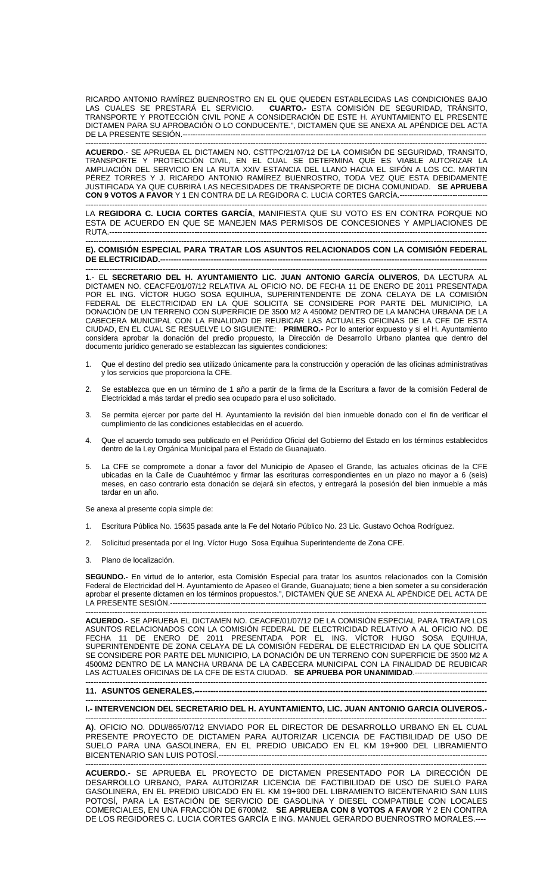RICARDO ANTONIO RAMÍREZ BUENROSTRO EN EL QUE QUEDEN ESTABLECIDAS LAS CONDICIONES BAJO LAS CUALES SE PRESTARÁ EL SERVICIO. **CUARTO.-** ESTA COMISIÓN DE SEGURIDAD, TRÁNSITO, TRANSPORTE Y PROTECCIÓN CIVIL PONE A CONSIDERACIÓN DE ESTE H. AYUNTAMIENTO EL PRESENTE DICTAMEN PARA SU APROBACIÓN O LO CONDUCENTE.", DICTAMEN QUE SE ANEXA AL APÉNDICE DEL ACTA DE LA PRESENTE SESIÓN.------------------------------------------------------------------------------------------------------------------------- -------------------------------------------------------------------------------------------------------------------------------------------------------

**ACUERDO**.- SE APRUEBA EL DICTAMEN NO. CSTTPC/21/07/12 DE LA COMISIÓN DE SEGURIDAD, TRANSITO, TRANSPORTE Y PROTECCIÓN CIVIL, EN EL CUAL SE DETERMINA QUE ES VIABLE AUTORIZAR LA AMPLIACIÓN DEL SERVICIO EN LA RUTA XXIV ESTANCIA DEL LLANO HACIA EL SIFÓN A LOS CC. MARTIN PÉREZ TORRES Y J. RICARDO ANTONIO RAMÍREZ BUENROSTRO, TODA VEZ QUE ESTA DEBIDAMENTE JUSTIFICADA YA QUE CUBRIRÁ LAS NECESIDADES DE TRANSPORTE DE DICHA COMUNIDAD. **SE APRUEBA CON 9 VOTOS A FAVOR** Y 1 EN CONTRA DE LA REGIDORA C. LUCIA CORTES GARCÍA.-----------------------------------

------------------------------------------------------------------------------------------------------------------------------------------------------- LA **REGIDORA C. LUCIA CORTES GARCÍA**, MANIFIESTA QUE SU VOTO ES EN CONTRA PORQUE NO ESTA DE ACUERDO EN QUE SE MANEJEN MAS PERMISOS DE CONCESIONES Y AMPLIACIONES DE RUTA.----------------------------------------------------------------------------------------------------------------------------------------------

------------------------------------------------------------------------------------------------------------------------------------------------------- **E). COMISIÓN ESPECIAL PARA TRATAR LOS ASUNTOS RELACIONADOS CON LA COMISIÓN FEDERAL DE ELECTRICIDAD.---**

------------------------------------------------------------------------------------------------------------------------------------------------------- **1**.- EL **SECRETARIO DEL H. AYUNTAMIENTO LIC. JUAN ANTONIO GARCÍA OLIVEROS**, DA LECTURA AL DICTAMEN NO. CEACFE/01/07/12 RELATIVA AL OFICIO NO. DE FECHA 11 DE ENERO DE 2011 PRESENTADA POR EL ING. VÍCTOR HUGO SOSA EQUIHUA, SUPERINTENDENTE DE ZONA CELAYA DE LA COMISIÓN FEDERAL DE ELECTRICIDAD EN LA QUE SOLICITA SE CONSIDERE POR PARTE DEL MUNICIPIO, LA DONACIÓN DE UN TERRENO CON SUPERFICIE DE 3500 M2 A 4500M2 DENTRO DE LA MANCHA URBANA DE LA CABECERA MUNICIPAL CON LA FINALIDAD DE REUBICAR LAS ACTUALES OFICINAS DE LA CFE DE ESTA CIUDAD, EN EL CUAL SE RESUELVE LO SIGUIENTE: **PRIMERO.-** Por lo anterior expuesto y si el H. Ayuntamiento considera aprobar la donación del predio propuesto, la Dirección de Desarrollo Urbano plantea que dentro del documento jurídico generado se establezcan las siguientes condiciones:

- 1. Que el destino del predio sea utilizado únicamente para la construcción y operación de las oficinas administrativas y los servicios que proporciona la CFE.
- 2. Se establezca que en un término de 1 año a partir de la firma de la Escritura a favor de la comisión Federal de Electricidad a más tardar el predio sea ocupado para el uso solicitado.
- 3. Se permita ejercer por parte del H. Ayuntamiento la revisión del bien inmueble donado con el fin de verificar el cumplimiento de las condiciones establecidas en el acuerdo.
- 4. Que el acuerdo tomado sea publicado en el Periódico Oficial del Gobierno del Estado en los términos establecidos dentro de la Ley Orgánica Municipal para el Estado de Guanajuato.
- 5. La CFE se compromete a donar a favor del Municipio de Apaseo el Grande, las actuales oficinas de la CFE ubicadas en la Calle de Cuauhtémoc y firmar las escrituras correspondientes en un plazo no mayor a 6 (seis) meses, en caso contrario esta donación se dejará sin efectos, y entregará la posesión del bien inmueble a más tardar en un año.

Se anexa al presente copia simple de:

- 1. Escritura Pública No. 15635 pasada ante la Fe del Notario Público No. 23 Lic. Gustavo Ochoa Rodríguez.
- 2. Solicitud presentada por el Ing. Víctor Hugo Sosa Equihua Superintendente de Zona CFE.
- 3. Plano de localización.

**SEGUNDO.-** En virtud de lo anterior, esta Comisión Especial para tratar los asuntos relacionados con la Comisión Federal de Electricidad del H. Ayuntamiento de Apaseo el Grande, Guanajuato; tiene a bien someter a su consideración aprobar el presente dictamen en los términos propuestos.", DICTAMEN QUE SE ANEXA AL APÉNDICE DEL ACTA DE LA PRESENTE SESIÓN.------------------------------------------------------------------------------------------------------------------------------

------------------------------------------------------------------------------------------------------------------------------------------------------- **ACUERDO.-** SE APRUEBA EL DICTAMEN NO. CEACFE/01/07/12 DE LA COMISIÓN ESPECIAL PARA TRATAR LOS ASUNTOS RELACIONADOS CON LA COMISIÓN FEDERAL DE ELECTRICIDAD RELATIVO A AL OFICIO NO. DE FECHA 11 DE ENERO DE 2011 PRESENTADA POR EL ING. VÍCTOR HUGO SOSA EQUIHUA, SUPERINTENDENTE DE ZONA CELAYA DE LA COMISIÓN FEDERAL DE ELECTRICIDAD EN LA QUE SOLICITA SE CONSIDERE POR PARTE DEL MUNICIPIO, LA DONACIÓN DE UN TERRENO CON SUPERFICIE DE 3500 M2 A 4500M2 DENTRO DE LA MANCHA URBANA DE LA CABECERA MUNICIPAL CON LA FINALIDAD DE REUBICAR LAS ACTUALES OFICINAS DE LA CFE DE ESTA CIUDAD. **SE APRUEBA POR UNANIMIDAD**.-----------------------------

# **11. ASUNTOS GENERALES.--------------------------------------------------------------------------------------------------------------**

### ------------------------------------------------------------------------------------------------------------------------------------------------------- **I.- INTERVENCION DEL SECRETARIO DEL H. AYUNTAMIENTO, LIC. JUAN ANTONIO GARCIA OLIVEROS.-**

-------------------------------------------------------------------------------------------------------------------------------------------------------

------------------------------------------------------------------------------------------------------------------------------------------------------- **A)**. OFICIO NO. DDU/865/07/12 ENVIADO POR EL DIRECTOR DE DESARROLLO URBANO EN EL CUAL PRESENTE PROYECTO DE DICTAMEN PARA AUTORIZAR LICENCIA DE FACTIBILIDAD DE USO DE SUELO PARA UNA GASOLINERA, EN EL PREDIO UBICADO EN EL KM 19+900 DEL LIBRAMIENTO BICENTENARIO SAN LUIS POTOSÍ.-------

------------------------------------------------------------------------------------------------------------------------------------------------------- **ACUERDO**.- SE APRUEBA EL PROYECTO DE DICTAMEN PRESENTADO POR LA DIRECCIÓN DE DESARROLLO URBANO, PARA AUTORIZAR LICENCIA DE FACTIBILIDAD DE USO DE SUELO PARA GASOLINERA, EN EL PREDIO UBICADO EN EL KM 19+900 DEL LIBRAMIENTO BICENTENARIO SAN LUIS POTOSÍ, PARA LA ESTACIÓN DE SERVICIO DE GASOLINA Y DIESEL COMPATIBLE CON LOCALES COMERCIALES, EN UNA FRACCIÓN DE 6700M2. **SE APRUEBA CON 8 VOTOS A FAVOR** Y 2 EN CONTRA DE LOS REGIDORES C. LUCIA CORTES GARCÍA E ING. MANUEL GERARDO BUENROSTRO MORALES.----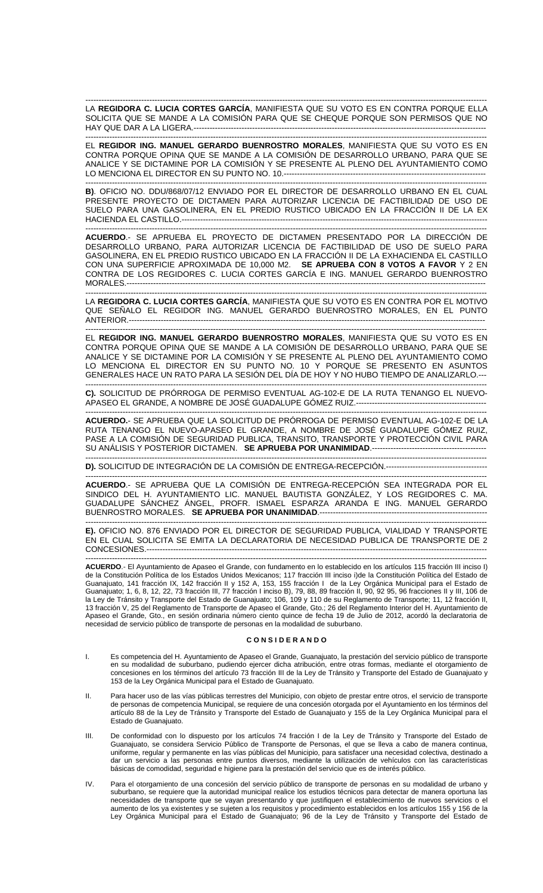------------------------------------------------------------------------------------------------------------------------------------------------------- LA **REGIDORA C. LUCIA CORTES GARCÍA**, MANIFIESTA QUE SU VOTO ES EN CONTRA PORQUE ELLA SOLICITA QUE SE MANDE A LA COMISIÓN PARA QUE SE CHEQUE PORQUE SON PERMISOS QUE NO HAY QUE DAR A LA LIGERA.--------------------------------

------------------------------------------------------------------------------------------------------------------------------------------------------- EL **REGIDOR ING. MANUEL GERARDO BUENROSTRO MORALES**, MANIFIESTA QUE SU VOTO ES EN CONTRA PORQUE OPINA QUE SE MANDE A LA COMISIÓN DE DESARROLLO URBANO, PARA QUE SE ANALICE Y SE DICTAMINE POR LA COMISIÓN Y SE PRESENTE AL PLENO DEL AYUNTAMIENTO COMO LO MENCIONA EL DIRECTOR EN SU PUNTO NO. 10.-------------------------

------------------------------------------------------------------------------------------------------------------------------------------------------- **B)**. OFICIO NO. DDU/868/07/12 ENVIADO POR EL DIRECTOR DE DESARROLLO URBANO EN EL CUAL PRESENTE PROYECTO DE DICTAMEN PARA AUTORIZAR LICENCIA DE FACTIBILIDAD DE USO DE SUELO PARA UNA GASOLINERA, EN EL PREDIO RUSTICO UBICADO EN LA FRACCIÓN II DE LA EX HACIENDA EL CASTILLO.-------------------------------------------------------------------------------------------------------------------

------------------------------------------------------------------------------------------------------------------------------------------------------- **ACUERDO**.- SE APRUEBA EL PROYECTO DE DICTAMEN PRESENTADO POR LA DIRECCIÓN DE DESARROLLO URBANO, PARA AUTORIZAR LICENCIA DE FACTIBILIDAD DE USO DE SUELO PARA GASOLINERA, EN EL PREDIO RUSTICO UBICADO EN LA FRACCIÓN II DE LA EXHACIENDA EL CASTILLO CON UNA SUPERFICIE APROXIMADA DE 10,000 M2. **SE APRUEBA CON 8 VOTOS A FAVOR** Y 2 EN CONTRA DE LOS REGIDORES C. LUCIA CORTES GARCÍA E ING. MANUEL GERARDO BUENROSTRO MORALES.---------------------------------------------------------------------------------------------------------------------------------------

------------------------------------------------------------------------------------------------------------------------------------------------------- LA **REGIDORA C. LUCIA CORTES GARCÍA**, MANIFIESTA QUE SU VOTO ES EN CONTRA POR EL MOTIVO QUE SEÑALO EL REGIDOR ING. MANUEL GERARDO BUENROSTRO MORALES, EN EL PUNTO ANTERIOR.--------------------------------------------------------------------------------------------------------------------------------------

------------------------------------------------------------------------------------------------------------------------------------------------------- EL **REGIDOR ING. MANUEL GERARDO BUENROSTRO MORALES**, MANIFIESTA QUE SU VOTO ES EN CONTRA PORQUE OPINA QUE SE MANDE A LA COMISIÓN DE DESARROLLO URBANO, PARA QUE SE ANALICE Y SE DICTAMINE POR LA COMISIÓN Y SE PRESENTE AL PLENO DEL AYUNTAMIENTO COMO LO MENCIONA EL DIRECTOR EN SU PUNTO NO. 10 Y PORQUE SE PRESENTO EN ASUNTOS GENERALES HACE UN RATO PARA LA SESIÓN DEL DÍA DE HOY Y NO HUBO TIEMPO DE ANALIZARLO.---

------------------------------------------------------------------------------------------------------------------------------------------------------- **C).** SOLICITUD DE PRÓRROGA DE PERMISO EVENTUAL AG-102-E DE LA RUTA TENANGO EL NUEVO-APASEO EL GRANDE, A NOMBRE DE JOSÉ GUADALUPE GÓMEZ RUIZ.-------------------------------

------------------------------------------------------------------------------------------------------------------------------------------------------- **ACUERDO.**- SE APRUEBA QUE LA SOLICITUD DE PRÓRROGA DE PERMISO EVENTUAL AG-102-E DE LA RUTA TENANGO EL NUEVO-APASEO EL GRANDE, A NOMBRE DE JOSÉ GUADALUPE GÓMEZ RUIZ, PASE A LA COMISIÓN DE SEGURIDAD PUBLICA, TRANSITO, TRANSPORTE Y PROTECCIÓN CIVIL PARA SU ANÁLISIS Y POSTERIOR DICTAMEN. **SE APRUEBA POR UNANIMIDAD**.-------------------------------------------

------------------------------------------------------------------------------------------------------------------------------------------------------- **D).** SOLICITUD DE INTEGRACIÓN DE LA COMISIÓN DE ENTREGA-RECEPCIÓN.--------------------------------------

------------------------------------------------------------------------------------------------------------------------------------------------------- **ACUERDO**.- SE APRUEBA QUE LA COMISIÓN DE ENTREGA-RECEPCIÓN SEA INTEGRADA POR EL SINDICO DEL H. AYUNTAMIENTO LIC. MANUEL BAUTISTA GONZÁLEZ, Y LOS REGIDORES C. MA. GUADALUPE SÁNCHEZ ÁNGEL, PROFR. ISMAEL ESPARZA ARANDA E ING. MANUEL GERARDO BUENROSTRO MORALES. **SE APRUEBA POR UNANIMIDAD**.---------------------------------------------------------------

------------------------------------------------------------------------------------------------------------------------------------------------------- **E).** OFICIO NO. 876 ENVIADO POR EL DIRECTOR DE SEGURIDAD PUBLICA, VIALIDAD Y TRANSPORTE EN EL CUAL SOLICITA SE EMITA LA DECLARATORIA DE NECESIDAD PUBLICA DE TRANSPORTE DE 2 CONCESIONES.--------------------------------------------------------------------------------------------------------------------------------

------------------------------------------------------------------------------------------------------------------------------------------------------- **ACUERDO**.- El Ayuntamiento de Apaseo el Grande, con fundamento en lo establecido en los artículos 115 fracción III inciso I) de la Constitución Política de los Estados Unidos Mexicanos; 117 fracción III inciso i)de la Constitución Política del Estado de Guanajuato, 141 fracción IX, 142 fracción II y 152 A, 153, 155 fracción I de la Ley Orgánica Municipal para el Estado de Guanajuato; 1, 6, 8, 12, 22, 73 fracción III, 77 fracción I inciso B), 79, 88, 89 fracción II, 90, 92 95, 96 fracciones II y III, 106 de la Ley de Tránsito y Transporte del Estado de Guanajuato; 106, 109 y 110 de su Reglamento de Transporte; 11, 12 fracción II, 13 fracción V, 25 del Reglamento de Transporte de Apaseo el Grande, Gto.; 26 del Reglamento Interior del H. Ayuntamiento de Apaseo el Grande, Gto., en sesión ordinaria número ciento quince de fecha 19 de Julio de 2012, acordó la declaratoria de necesidad de servicio público de transporte de personas en la modalidad de suburbano.

### **C O N S I D E R A N D O**

- I. Es competencia del H. Ayuntamiento de Apaseo el Grande, Guanajuato, la prestación del servicio público de transporte en su modalidad de suburbano, pudiendo ejercer dicha atribución, entre otras formas, mediante el otorgamiento de concesiones en los términos del artículo 73 fracción III de la Ley de Tránsito y Transporte del Estado de Guanajuato y 153 de la Ley Orgánica Municipal para el Estado de Guanajuato.
- II. Para hacer uso de las vías públicas terrestres del Municipio, con objeto de prestar entre otros, el servicio de transporte de personas de competencia Municipal, se requiere de una concesión otorgada por el Ayuntamiento en los términos del artículo 88 de la Ley de Tránsito y Transporte del Estado de Guanajuato y 155 de la Ley Orgánica Municipal para el Estado de Guanajuato.
- III. De conformidad con lo dispuesto por los artículos 74 fracción I de la Ley de Tránsito y Transporte del Estado de Guanajuato, se considera Servicio Público de Transporte de Personas, el que se lleva a cabo de manera continua, uniforme, regular y permanente en las vías públicas del Municipio, para satisfacer una necesidad colectiva, destinado a dar un servicio a las personas entre puntos diversos, mediante la utilización de vehículos con las características básicas de comodidad, seguridad e higiene para la prestación del servicio que es de interés público.
- IV. Para el otorgamiento de una concesión del servicio público de transporte de personas en su modalidad de urbano y suburbano, se requiere que la autoridad municipal realice los estudios técnicos para detectar de manera oportuna las necesidades de transporte que se vayan presentando y que justifiquen el establecimiento de nuevos servicios o el aumento de los ya existentes y se sujeten a los requisitos y procedimiento establecidos en los artículos 155 y 156 de la Ley Orgánica Municipal para el Estado de Guanajuato; 96 de la Ley de Tránsito y Transporte del Estado de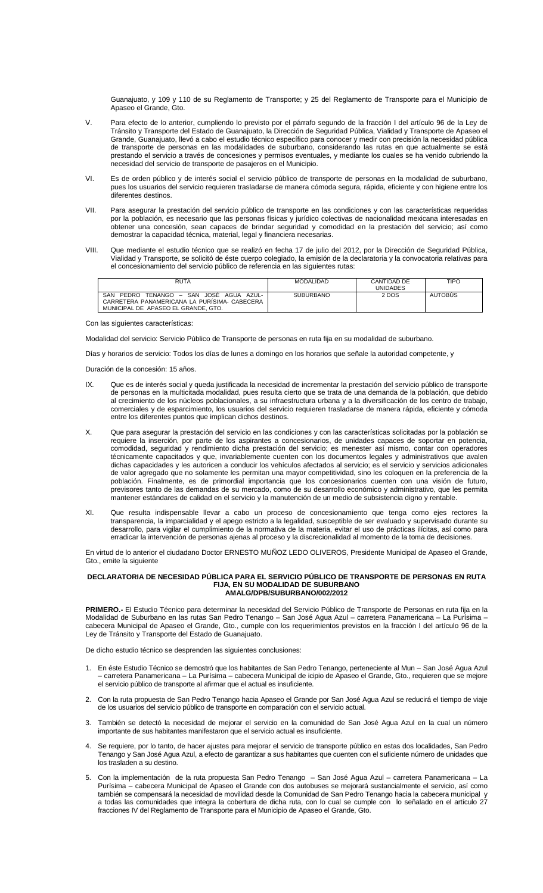Guanajuato, y 109 y 110 de su Reglamento de Transporte; y 25 del Reglamento de Transporte para el Municipio de Apaseo el Grande, Gto.

- V. Para efecto de lo anterior, cumpliendo lo previsto por el párrafo segundo de la fracción I del artículo 96 de la Ley de Tránsito y Transporte del Estado de Guanajuato, la Dirección de Seguridad Pública, Vialidad y Transporte de Apaseo el Grande, Guanajuato, llevó a cabo el estudio técnico específico para conocer y medir con precisión la necesidad pública de transporte de personas en las modalidades de suburbano, considerando las rutas en que actualmente se está prestando el servicio a través de concesiones y permisos eventuales, y mediante los cuales se ha venido cubriendo la necesidad del servicio de transporte de pasajeros en el Municipio.
- VI. Es de orden público y de interés social el servicio público de transporte de personas en la modalidad de suburbano, pues los usuarios del servicio requieren trasladarse de manera cómoda segura, rápida, eficiente y con higiene entre los diferentes destinos.
- VII. Para asegurar la prestación del servicio público de transporte en las condiciones y con las características requeridas por la población, es necesario que las personas físicas y jurídico colectivas de nacionalidad mexicana interesadas en obtener una concesión, sean capaces de brindar seguridad y comodidad en la prestación del servicio; así como demostrar la capacidad técnica, material, legal y financiera necesarias.
- VIII. Que mediante el estudio técnico que se realizó en fecha 17 de julio del 2012, por la Dirección de Seguridad Pública, Vialidad y Transporte, se solicitó de éste cuerpo colegiado, la emisión de la declaratoria y la convocatoria relativas para el concesionamiento del servicio público de referencia en las siguientes rutas:

| <b>RUTA</b>                                                                                                                                | MODALIDAD        | CANTIDAD DE | <b>TIPO</b>    |
|--------------------------------------------------------------------------------------------------------------------------------------------|------------------|-------------|----------------|
|                                                                                                                                            |                  | UNIDADES    |                |
| TENANGO – SAN JOSÉ<br>SAN<br>PEDRO<br>A7UL-<br>AGUA<br>CARRETERA PANAMERICANA LA PURISIMA- CABECERA<br>MUNICIPAL DE APASEO EL GRANDE, GTO. | <b>SUBURBANO</b> | 2 DOS       | <b>AUTOBUS</b> |

Con las siguientes características:

Modalidad del servicio: Servicio Público de Transporte de personas en ruta fija en su modalidad de suburbano.

Días y horarios de servicio: Todos los días de lunes a domingo en los horarios que señale la autoridad competente, y

Duración de la concesión: 15 años.

- IX. Que es de interés social y queda justificada la necesidad de incrementar la prestación del servicio público de transporte de personas en la multicitada modalidad, pues resulta cierto que se trata de una demanda de la población, que debido al crecimiento de los núcleos poblacionales, a su infraestructura urbana y a la diversificación de los centro de trabajo, comerciales y de esparcimiento, los usuarios del servicio requieren trasladarse de manera rápida, eficiente y cómoda entre los diferentes puntos que implican dichos destinos.
- X. Que para asegurar la prestación del servicio en las condiciones y con las características solicitadas por la población se requiere la inserción, por parte de los aspirantes a concesionarios, de unidades capaces de soportar en potencia, comodidad, seguridad y rendimiento dicha prestación del servicio; es menester así mismo, contar con operadores técnicamente capacitados y que, invariablemente cuenten con los documentos legales y administrativos que avalen dichas capacidades y les autoricen a conducir los vehículos afectados al servicio; es el servicio y servicios adicionales de valor agregado que no solamente les permitan una mayor competitividad, sino les coloquen en la preferencia de la población. Finalmente, es de primordial importancia que los concesionarios cuenten con una visión de futuro, previsores tanto de las demandas de su mercado, como de su desarrollo económico y administrativo, que les permita mantener estándares de calidad en el servicio y la manutención de un medio de subsistencia digno y rentable.
- XI. Que resulta indispensable llevar a cabo un proceso de concesionamiento que tenga como ejes rectores la transparencia, la imparcialidad y el apego estricto a la legalidad, susceptible de ser evaluado y supervisado durante su desarrollo, para vigilar el cumplimiento de la normativa de la materia, evitar el uso de prácticas ilícitas, así como para erradicar la intervención de personas ajenas al proceso y la discrecionalidad al momento de la toma de decisiones.

En virtud de lo anterior el ciudadano Doctor ERNESTO MUÑOZ LEDO OLIVEROS, Presidente Municipal de Apaseo el Grande, Gto., emite la siguiente

### **DECLARATORIA DE NECESIDAD PÚBLICA PARA EL SERVICIO PÚBLICO DE TRANSPORTE DE PERSONAS EN RUTA FIJA, EN SU MODALIDAD DE SUBURBANO AMALG/DPB/SUBURBANO/002/2012**

**PRIMERO.-** El Estudio Técnico para determinar la necesidad del Servicio Público de Transporte de Personas en ruta fija en la Modalidad de Suburbano en las rutas San Pedro Tenango – San José Agua Azul – carretera Panamericana – La Purísima – cabecera Municipal de Apaseo el Grande, Gto., cumple con los requerimientos previstos en la fracción I del artículo 96 de la Ley de Tránsito y Transporte del Estado de Guanajuato.

De dicho estudio técnico se desprenden las siguientes conclusiones:

- 1. En éste Estudio Técnico se demostró que los habitantes de San Pedro Tenango, perteneciente al Mun San José Agua Azul – carretera Panamericana – La Purísima – cabecera Municipal de icipio de Apaseo el Grande, Gto., requieren que se mejore el servicio público de transporte al afirmar que el actual es insuficiente.
- 2. Con la ruta propuesta de San Pedro Tenango hacia Apaseo el Grande por San José Agua Azul se reducirá el tiempo de viaje de los usuarios del servicio público de transporte en comparación con el servicio actual.
- 3. También se detectó la necesidad de mejorar el servicio en la comunidad de San José Agua Azul en la cual un número importante de sus habitantes manifestaron que el servicio actual es insuficiente.
- 4. Se requiere, por lo tanto, de hacer ajustes para mejorar el servicio de transporte público en estas dos localidades, San Pedro Tenango y San José Agua Azul, a efecto de garantizar a sus habitantes que cuenten con el suficiente número de unidades que los trasladen a su destino.
- 5. Con la implementación de la ruta propuesta San Pedro Tenango San José Agua Azul carretera Panamericana La Purísima – cabecera Municipal de Apaseo el Grande con dos autobuses se mejorará sustancialmente el servicio, así como también se compensará la necesidad de movilidad desde la Comunidad de San Pedro Tenango hacia la cabecera municipal y a todas las comunidades que integra la cobertura de dicha ruta, con lo cual se cumple con lo señalado en el artículo 27 fracciones IV del Reglamento de Transporte para el Municipio de Apaseo el Grande, Gto.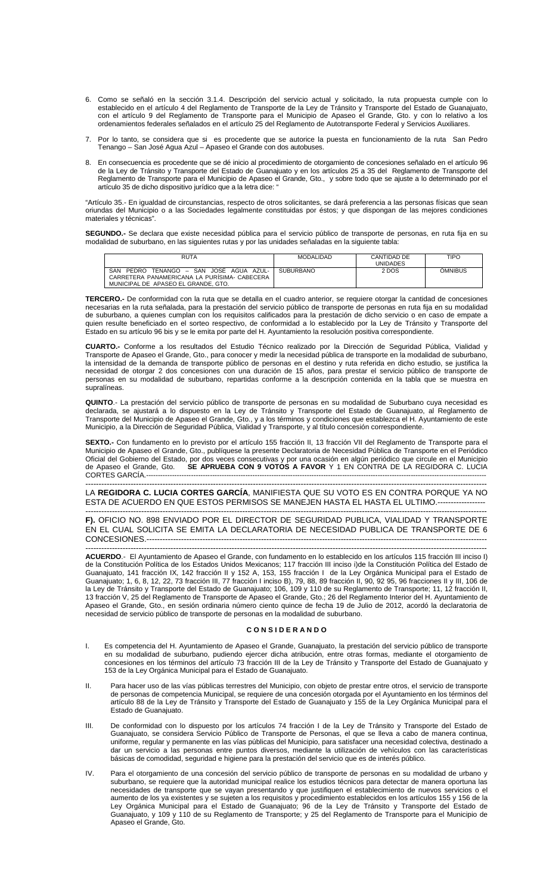- 6. Como se señaló en la sección 3.1.4. Descripción del servicio actual y solicitado, la ruta propuesta cumple con lo establecido en el artículo 4 del Reglamento de Transporte de la Ley de Tránsito y Transporte del Estado de Guanajuato, con el artículo 9 del Reglamento de Transporte para el Municipio de Apaseo el Grande, Gto. y con lo relativo a los ordenamientos federales señalados en el artículo 25 del Reglamento de Autotransporte Federal y Servicios Auxiliares.
- 7. Por lo tanto, se considera que si es procedente que se autorice la puesta en funcionamiento de la ruta San Pedro Tenango – San José Agua Azul – Apaseo el Grande con dos autobuses.
- 8. En consecuencia es procedente que se dé inicio al procedimiento de otorgamiento de concesiones señalado en el artículo 96 de la Ley de Tránsito y Transporte del Estado de Guanajuato y en los artículos 25 a 35 del Reglamento de Transporte del Reglamento de Transporte para el Municipio de Apaseo el Grande, Gto., y sobre todo que se ajuste a lo determinado por el artículo 35 de dicho dispositivo jurídico que a la letra dice: "

"Artículo 35.- En igualdad de circunstancias, respecto de otros solicitantes, se dará preferencia a las personas físicas que sean oriundas del Municipio o a las Sociedades legalmente constituidas por éstos; y que dispongan de las mejores condiciones materiales y técnicas".

**SEGUNDO.-** Se declara que existe necesidad pública para el servicio público de transporte de personas, en ruta fija en su modalidad de suburbano, en las siguientes rutas y por las unidades señaladas en la siguiente tabla:

| <b>RUTA</b>                                                                                                                                 | <b>MODALIDAD</b> | CANTIDAD DE     | TIPO           |
|---------------------------------------------------------------------------------------------------------------------------------------------|------------------|-----------------|----------------|
|                                                                                                                                             |                  | <b>UNIDADES</b> |                |
| SAN<br>TENANGO – SAN JOSÉ AGUA AZUL-<br><b>PEDRO</b><br>CARRETERA PANAMERICANA LA PURISIMA- CABECERA<br>MUNICIPAL DE APASEO EL GRANDE, GTO. | <b>SUBURBANO</b> | 2 DOS           | <b>OMNIBUS</b> |

**TERCERO.-** De conformidad con la ruta que se detalla en el cuadro anterior, se requiere otorgar la cantidad de concesiones necesarias en la ruta señalada, para la prestación del servicio público de transporte de personas en ruta fija en su modalidad de suburbano, a quienes cumplan con los requisitos calificados para la prestación de dicho servicio o en caso de empate a quien resulte beneficiado en el sorteo respectivo, de conformidad a lo establecido por la Ley de Tránsito y Transporte del Estado en su artículo 96 bis y se le emita por parte del H. Ayuntamiento la resolución positiva correspondiente.

**CUARTO.-** Conforme a los resultados del Estudio Técnico realizado por la Dirección de Seguridad Pública, Vialidad y Transporte de Apaseo el Grande, Gto., para conocer y medir la necesidad pública de transporte en la modalidad de suburbano, la intensidad de la demanda de transporte público de personas en el destino y ruta referida en dicho estudio, se justifica la necesidad de otorgar 2 dos concesiones con una duración de 15 años, para prestar el servicio público de transporte de personas en su modalidad de suburbano, repartidas conforme a la descripción contenida en la tabla que se muestra en supralíneas.

**QUINTO**.- La prestación del servicio público de transporte de personas en su modalidad de Suburbano cuya necesidad es declarada, se ajustará a lo dispuesto en la Ley de Tránsito y Transporte del Estado de Guanajuato, al Reglamento de Transporte del Municipio de Apaseo el Grande, Gto., y a los términos y condiciones que establezca el H. Ayuntamiento de este Municipio, a la Dirección de Seguridad Pública, Vialidad y Transporte, y al título concesión correspondiente.

**SEXTO.-** Con fundamento en lo previsto por el artículo 155 fracción II, 13 fracción VII del Reglamento de Transporte para el Municipio de Apaseo el Grande, Gto., publíquese la presente Declaratoria de Necesidad Pública de Transporte en el Periódico Oficial del Gobierno del Estado, por dos veces consecutivas y por una ocasión en algún periódico que circule en el Municipio de Apaseo el Grande, Gto. **SE APRUEBA CON 9 VOTOS A FAVOR** Y 1 EN CONTRA DE LA REGIDORA C. LUCIA CORTES GARCÍA.----

------------------------------------------------------------------------------------------------------------------------------------------------------- LA **REGIDORA C. LUCIA CORTES GARCÍA**, MANIFIESTA QUE SU VOTO ES EN CONTRA PORQUE YA NO ESTA DE ACUERDO EN QUE ESTOS PERMISOS SE MANEJEN HASTA EL HASTA EL ULTIMO.------

------------------------------------------------------------------------------------------------------------------------------------------------------- **F).** OFICIO NO. 898 ENVIADO POR EL DIRECTOR DE SEGURIDAD PUBLICA, VIALIDAD Y TRANSPORTE EN EL CUAL SOLICITA SE EMITA LA DECLARATORIA DE NECESIDAD PUBLICA DE TRANSPORTE DE 6 CONCESIONES.--

------------------------------------------------------------------------------------------------------------------------------------------------------- **ACUERDO**.- El Ayuntamiento de Apaseo el Grande, con fundamento en lo establecido en los artículos 115 fracción III inciso I) de la Constitución Política de los Estados Unidos Mexicanos; 117 fracción III inciso i)de la Constitución Política del Estado de Guanajuato, 141 fracción IX, 142 fracción II y 152 A, 153, 155 fracción I de la Ley Orgánica Municipal para el Estado de Guanajuato; 1, 6, 8, 12, 22, 73 fracción III, 77 fracción I inciso B), 79, 88, 89 fracción II, 90, 92 95, 96 fracciones II y III, 106 de la Ley de Tránsito y Transporte del Estado de Guanajuato; 106, 109 y 110 de su Reglamento de Transporte; 11, 12 fracción II, 13 fracción V, 25 del Reglamento de Transporte de Apaseo el Grande, Gto.; 26 del Reglamento Interior del H. Ayuntamiento de Apaseo el Grande, Gto., en sesión ordinaria número ciento quince de fecha 19 de Julio de 2012, acordó la declaratoria de necesidad de servicio público de transporte de personas en la modalidad de suburbano.

# **C O N S I D E R A N D O**

- I. Es competencia del H. Ayuntamiento de Apaseo el Grande, Guanajuato, la prestación del servicio público de transporte en su modalidad de suburbano, pudiendo ejercer dicha atribución, entre otras formas, mediante el otorgamiento de concesiones en los términos del artículo 73 fracción III de la Ley de Tránsito y Transporte del Estado de Guanajuato y 153 de la Ley Orgánica Municipal para el Estado de Guanajuato.
- II. Para hacer uso de las vías públicas terrestres del Municipio, con objeto de prestar entre otros, el servicio de transporte de personas de competencia Municipal, se requiere de una concesión otorgada por el Ayuntamiento en los términos del artículo 88 de la Ley de Tránsito y Transporte del Estado de Guanajuato y 155 de la Ley Orgánica Municipal para el Estado de Guanajuato.
- III. De conformidad con lo dispuesto por los artículos 74 fracción I de la Ley de Tránsito y Transporte del Estado de Guanajuato, se considera Servicio Público de Transporte de Personas, el que se lleva a cabo de manera continua, uniforme, regular y permanente en las vías públicas del Municipio, para satisfacer una necesidad colectiva, destinado a dar un servicio a las personas entre puntos diversos, mediante la utilización de vehículos con las características básicas de comodidad, seguridad e higiene para la prestación del servicio que es de interés público.
- IV. Para el otorgamiento de una concesión del servicio público de transporte de personas en su modalidad de urbano y suburbano, se requiere que la autoridad municipal realice los estudios técnicos para detectar de manera oportuna las necesidades de transporte que se vayan presentando y que justifiquen el establecimiento de nuevos servicios o el aumento de los ya existentes y se sujeten a los requisitos y procedimiento establecidos en los artículos 155 y 156 de la Ley Orgánica Municipal para el Estado de Guanajuato; 96 de la Ley de Tránsito y Transporte del Estado de Guanajuato, y 109 y 110 de su Reglamento de Transporte; y 25 del Reglamento de Transporte para el Municipio de Apaseo el Grande, Gto.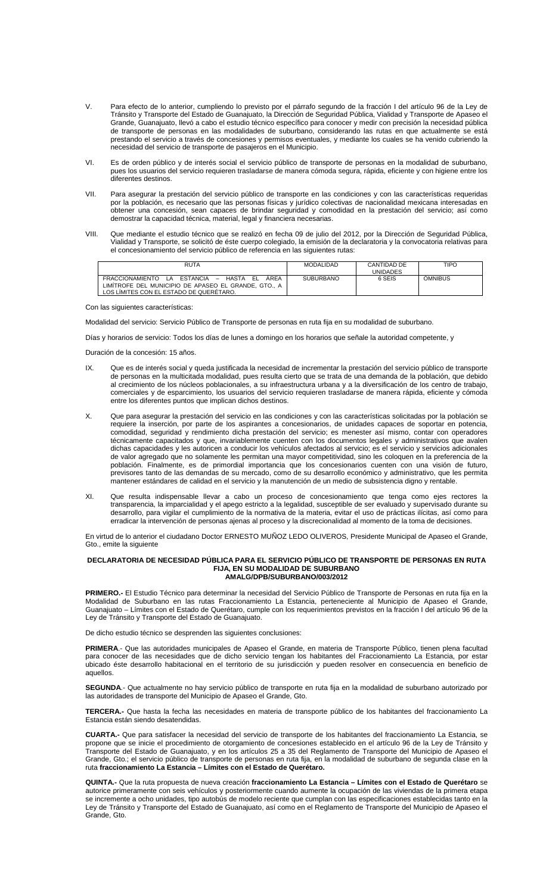- V. Para efecto de lo anterior, cumpliendo lo previsto por el párrafo segundo de la fracción I del artículo 96 de la Ley de Tránsito y Transporte del Estado de Guanajuato, la Dirección de Seguridad Pública, Vialidad y Transporte de Apaseo el Grande, Guanajuato, llevó a cabo el estudio técnico específico para conocer y medir con precisión la necesidad pública de transporte de personas en las modalidades de suburbano, considerando las rutas en que actualmente se está prestando el servicio a través de concesiones y permisos eventuales, y mediante los cuales se ha venido cubriendo la necesidad del servicio de transporte de pasajeros en el Municipio.
- VI. Es de orden público y de interés social el servicio público de transporte de personas en la modalidad de suburbano, pues los usuarios del servicio requieren trasladarse de manera cómoda segura, rápida, eficiente y con higiene entre los diferentes destinos.
- VII. Para asegurar la prestación del servicio público de transporte en las condiciones y con las características requeridas por la población, es necesario que las personas físicas y jurídico colectivas de nacionalidad mexicana interesadas en obtener una concesión, sean capaces de brindar seguridad y comodidad en la prestación del servicio; así como demostrar la capacidad técnica, material, legal y financiera necesarias.
- VIII. Que mediante el estudio técnico que se realizó en fecha 09 de julio del 2012, por la Dirección de Seguridad Pública, Vialidad y Transporte, se solicitó de éste cuerpo colegiado, la emisión de la declaratoria y la convocatoria relativas para el concesionamiento del servicio público de referencia en las siguientes rutas:

| <b>RUTA</b>                                                                | <b>MODALIDAD</b> | CANTIDAD DE | <b>TIPO</b>    |
|----------------------------------------------------------------------------|------------------|-------------|----------------|
|                                                                            |                  | UNIDADES    |                |
| ARFA<br>HASTA<br>FRACCIONAMIENTO<br>ESTANCIA –<br>FL.<br>$\sim$ 14 $\cdot$ | <b>SUBURBANO</b> | 6 SEIS      | <b>OMNIBUS</b> |
| LIMITROFE DEL MUNICIPIO DE APASEO EL GRANDE. GTO A                         |                  |             |                |
| LOS LIMITES CON EL ESTADO DE QUERÉTARO.                                    |                  |             |                |

Con las siguientes características:

Modalidad del servicio: Servicio Público de Transporte de personas en ruta fija en su modalidad de suburbano.

Días y horarios de servicio: Todos los días de lunes a domingo en los horarios que señale la autoridad competente, y

Duración de la concesión: 15 años.

- IX. Que es de interés social y queda justificada la necesidad de incrementar la prestación del servicio público de transporte de personas en la multicitada modalidad, pues resulta cierto que se trata de una demanda de la población, que debido al crecimiento de los núcleos poblacionales, a su infraestructura urbana y a la diversificación de los centro de trabajo, comerciales y de esparcimiento, los usuarios del servicio requieren trasladarse de manera rápida, eficiente y cómoda entre los diferentes puntos que implican dichos destinos.
- X. Que para asegurar la prestación del servicio en las condiciones y con las características solicitadas por la población se requiere la inserción, por parte de los aspirantes a concesionarios, de unidades capaces de soportar en potencia, comodidad, seguridad y rendimiento dicha prestación del servicio; es menester así mismo, contar con operadores técnicamente capacitados y que, invariablemente cuenten con los documentos legales y administrativos que avalen dichas capacidades y les autoricen a conducir los vehículos afectados al servicio; es el servicio y servicios adicionales de valor agregado que no solamente les permitan una mayor competitividad, sino les coloquen en la preferencia de la población. Finalmente, es de primordial importancia que los concesionarios cuenten con una visión de futuro, previsores tanto de las demandas de su mercado, como de su desarrollo económico y administrativo, que les permita mantener estándares de calidad en el servicio y la manutención de un medio de subsistencia digno y rentable.
- XI. Que resulta indispensable llevar a cabo un proceso de concesionamiento que tenga como ejes rectores la transparencia, la imparcialidad y el apego estricto a la legalidad, susceptible de ser evaluado y supervisado durante su desarrollo, para vigilar el cumplimiento de la normativa de la materia, evitar el uso de prácticas ilícitas, así como para erradicar la intervención de personas ajenas al proceso y la discrecionalidad al momento de la toma de decisiones.

En virtud de lo anterior el ciudadano Doctor ERNESTO MUÑOZ LEDO OLIVEROS, Presidente Municipal de Apaseo el Grande, Gto., emite la siguiente

### **DECLARATORIA DE NECESIDAD PÚBLICA PARA EL SERVICIO PÚBLICO DE TRANSPORTE DE PERSONAS EN RUTA FIJA, EN SU MODALIDAD DE SUBURBANO AMALG/DPB/SUBURBANO/003/2012**

**PRIMERO.-** El Estudio Técnico para determinar la necesidad del Servicio Público de Transporte de Personas en ruta fija en la Modalidad de Suburbano en las rutas Fraccionamiento La Estancia, perteneciente al Municipio de Apaseo el Grande, Guanajuato – Límites con el Estado de Querétaro, cumple con los requerimientos previstos en la fracción I del artículo 96 de la Ley de Tránsito y Transporte del Estado de Guanajuato.

De dicho estudio técnico se desprenden las siguientes conclusiones:

**PRIMERA**.- Que las autoridades municipales de Apaseo el Grande, en materia de Transporte Público, tienen plena facultad para conocer de las necesidades que de dicho servicio tengan los habitantes del Fraccionamiento La Estancia, por estar ubicado éste desarrollo habitacional en el territorio de su jurisdicción y pueden resolver en consecuencia en beneficio de aquellos.

**SEGUNDA**.- Que actualmente no hay servicio público de transporte en ruta fija en la modalidad de suburbano autorizado por las autoridades de transporte del Municipio de Apaseo el Grande, Gto.

**TERCERA.-** Que hasta la fecha las necesidades en materia de transporte público de los habitantes del fraccionamiento La Estancia están siendo desatendidas.

**CUARTA.-** Que para satisfacer la necesidad del servicio de transporte de los habitantes del fraccionamiento La Estancia, se propone que se inicie el procedimiento de otorgamiento de concesiones establecido en el artículo 96 de la Ley de Tránsito y Transporte del Estado de Guanajuato, y en los artículos 25 a 35 del Reglamento de Transporte del Municipio de Apaseo el Grande, Gto.; el servicio público de transporte de personas en ruta fija, en la modalidad de suburbano de segunda clase en la ruta **fraccionamiento La Estancia – Límites con el Estado de Querétaro.** 

**QUINTA.-** Que la ruta propuesta de nueva creación **fraccionamiento La Estancia – Límites con el Estado de Querétaro** se autorice primeramente con seis vehículos y posteriormente cuando aumente la ocupación de las viviendas de la primera etapa se incremente a ocho unidades, tipo autobús de modelo reciente que cumplan con las especificaciones establecidas tanto en la Ley de Tránsito y Transporte del Estado de Guanajuato, así como en el Reglamento de Transporte del Municipio de Apaseo el Grande, Gto.